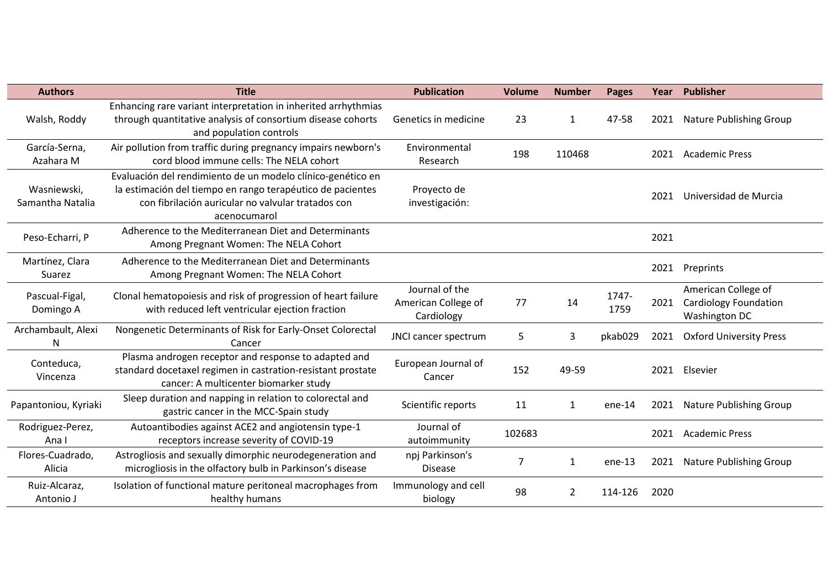| <b>Authors</b>                  | <b>Title</b>                                                                                                                                                                                    | <b>Publication</b>                                  | <b>Volume</b> | <b>Number</b> | <b>Pages</b>  |      | Year Publisher                                                       |
|---------------------------------|-------------------------------------------------------------------------------------------------------------------------------------------------------------------------------------------------|-----------------------------------------------------|---------------|---------------|---------------|------|----------------------------------------------------------------------|
| Walsh, Roddy                    | Enhancing rare variant interpretation in inherited arrhythmias<br>through quantitative analysis of consortium disease cohorts<br>and population controls                                        | Genetics in medicine                                | 23            | $\mathbf{1}$  | 47-58         | 2021 | <b>Nature Publishing Group</b>                                       |
| García-Serna,<br>Azahara M      | Air pollution from traffic during pregnancy impairs newborn's<br>cord blood immune cells: The NELA cohort                                                                                       | Environmental<br>Research                           | 198           | 110468        |               | 2021 | <b>Academic Press</b>                                                |
| Wasniewski,<br>Samantha Natalia | Evaluación del rendimiento de un modelo clínico-genético en<br>la estimación del tiempo en rango terapéutico de pacientes<br>con fibrilación auricular no valvular tratados con<br>acenocumarol | Proyecto de<br>investigación:                       |               |               |               | 2021 | Universidad de Murcia                                                |
| Peso-Echarri, P                 | Adherence to the Mediterranean Diet and Determinants<br>Among Pregnant Women: The NELA Cohort                                                                                                   |                                                     |               |               |               | 2021 |                                                                      |
| Martínez, Clara<br>Suarez       | Adherence to the Mediterranean Diet and Determinants<br>Among Pregnant Women: The NELA Cohort                                                                                                   |                                                     |               |               |               | 2021 | Preprints                                                            |
| Pascual-Figal,<br>Domingo A     | Clonal hematopoiesis and risk of progression of heart failure<br>with reduced left ventricular ejection fraction                                                                                | Journal of the<br>American College of<br>Cardiology | 77            | 14            | 1747-<br>1759 | 2021 | American College of<br><b>Cardiology Foundation</b><br>Washington DC |
| Archambault, Alexi<br>N         | Nongenetic Determinants of Risk for Early-Onset Colorectal<br>Cancer                                                                                                                            | JNCI cancer spectrum                                | 5             | 3             | pkab029       | 2021 | <b>Oxford University Press</b>                                       |
| Conteduca,<br>Vincenza          | Plasma androgen receptor and response to adapted and<br>standard docetaxel regimen in castration-resistant prostate<br>cancer: A multicenter biomarker study                                    | European Journal of<br>Cancer                       | 152           | 49-59         |               | 2021 | Elsevier                                                             |
| Papantoniou, Kyriaki            | Sleep duration and napping in relation to colorectal and<br>gastric cancer in the MCC-Spain study                                                                                               | Scientific reports                                  | 11            | $\mathbf{1}$  | $ene-14$      | 2021 | <b>Nature Publishing Group</b>                                       |
| Rodriguez-Perez,<br>Ana I       | Autoantibodies against ACE2 and angiotensin type-1<br>receptors increase severity of COVID-19                                                                                                   | Journal of<br>autoimmunity                          | 102683        |               |               | 2021 | <b>Academic Press</b>                                                |
| Flores-Cuadrado,<br>Alicia      | Astrogliosis and sexually dimorphic neurodegeneration and<br>microgliosis in the olfactory bulb in Parkinson's disease                                                                          | npj Parkinson's<br><b>Disease</b>                   | 7             | $\mathbf{1}$  | ene-13        | 2021 | <b>Nature Publishing Group</b>                                       |
| Ruiz-Alcaraz,<br>Antonio J      | Isolation of functional mature peritoneal macrophages from<br>healthy humans                                                                                                                    | Immunology and cell<br>biology                      | 98            | 2             | 114-126       | 2020 |                                                                      |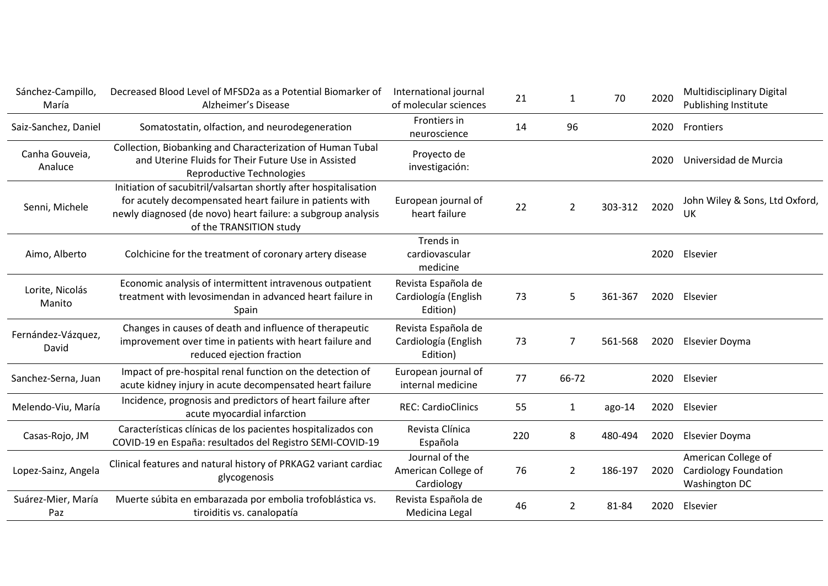| Sánchez-Campillo,<br>María  | Decreased Blood Level of MFSD2a as a Potential Biomarker of<br>Alzheimer's Disease                                                                                                                                      | International journal<br>of molecular sciences          | 21  | 1              | 70      | 2020 | Multidisciplinary Digital<br>Publishing Institute                    |
|-----------------------------|-------------------------------------------------------------------------------------------------------------------------------------------------------------------------------------------------------------------------|---------------------------------------------------------|-----|----------------|---------|------|----------------------------------------------------------------------|
| Saiz-Sanchez, Daniel        | Somatostatin, olfaction, and neurodegeneration                                                                                                                                                                          | Frontiers in<br>neuroscience                            | 14  | 96             |         | 2020 | Frontiers                                                            |
| Canha Gouveia,<br>Analuce   | Collection, Biobanking and Characterization of Human Tubal<br>and Uterine Fluids for Their Future Use in Assisted<br><b>Reproductive Technologies</b>                                                                   | Proyecto de<br>investigación:                           |     |                |         | 2020 | Universidad de Murcia                                                |
| Senni, Michele              | Initiation of sacubitril/valsartan shortly after hospitalisation<br>for acutely decompensated heart failure in patients with<br>newly diagnosed (de novo) heart failure: a subgroup analysis<br>of the TRANSITION study | European journal of<br>heart failure                    | 22  | $\overline{2}$ | 303-312 | 2020 | John Wiley & Sons, Ltd Oxford,<br>UK                                 |
| Aimo, Alberto               | Colchicine for the treatment of coronary artery disease                                                                                                                                                                 | Trends in<br>cardiovascular<br>medicine                 |     |                |         | 2020 | Elsevier                                                             |
| Lorite, Nicolás<br>Manito   | Economic analysis of intermittent intravenous outpatient<br>treatment with levosimendan in advanced heart failure in<br>Spain                                                                                           | Revista Española de<br>Cardiología (English<br>Edition) | 73  | 5              | 361-367 | 2020 | Elsevier                                                             |
| Fernández-Vázquez,<br>David | Changes in causes of death and influence of therapeutic<br>improvement over time in patients with heart failure and<br>reduced ejection fraction                                                                        | Revista Española de<br>Cardiología (English<br>Edition) | 73  | 7              | 561-568 | 2020 | Elsevier Doyma                                                       |
| Sanchez-Serna, Juan         | Impact of pre-hospital renal function on the detection of<br>acute kidney injury in acute decompensated heart failure                                                                                                   | European journal of<br>internal medicine                | 77  | 66-72          |         | 2020 | Elsevier                                                             |
| Melendo-Viu, María          | Incidence, prognosis and predictors of heart failure after<br>acute myocardial infarction                                                                                                                               | <b>REC: CardioClinics</b>                               | 55  | $\mathbf{1}$   | ago-14  | 2020 | Elsevier                                                             |
| Casas-Rojo, JM              | Características clínicas de los pacientes hospitalizados con<br>COVID-19 en España: resultados del Registro SEMI-COVID-19                                                                                               | Revista Clínica<br>Española                             | 220 | 8              | 480-494 | 2020 | Elsevier Doyma                                                       |
| Lopez-Sainz, Angela         | Clinical features and natural history of PRKAG2 variant cardiac<br>glycogenosis                                                                                                                                         | Journal of the<br>American College of<br>Cardiology     | 76  | 2              | 186-197 | 2020 | American College of<br>Cardiology Foundation<br><b>Washington DC</b> |
| Suárez-Mier, María<br>Paz   | Muerte súbita en embarazada por embolia trofoblástica vs.<br>tiroiditis vs. canalopatía                                                                                                                                 | Revista Española de<br>Medicina Legal                   | 46  | $\overline{2}$ | 81-84   | 2020 | Elsevier                                                             |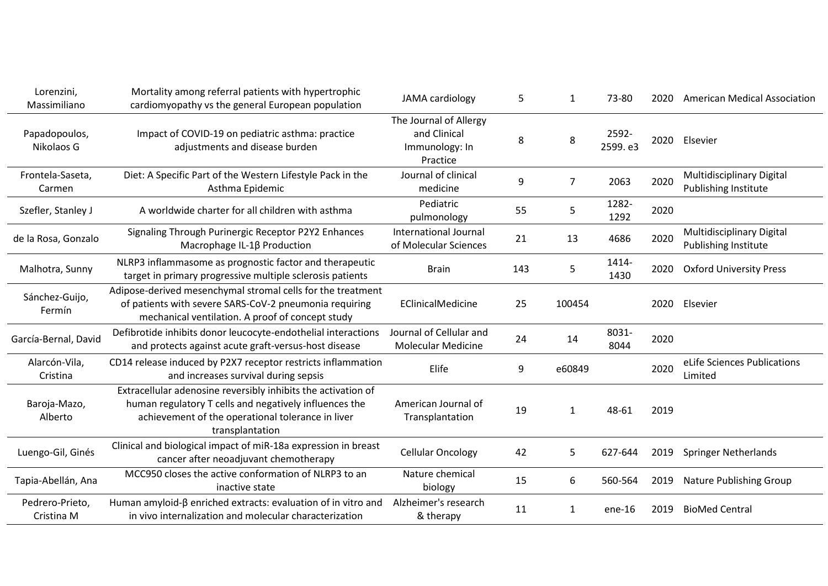| Lorenzini,<br>Massimiliano    | Mortality among referral patients with hypertrophic<br>cardiomyopathy vs the general European population                                                                                        | JAMA cardiology                                                      | 5   | 1            | 73-80            | 2020 | <b>American Medical Association</b>                      |
|-------------------------------|-------------------------------------------------------------------------------------------------------------------------------------------------------------------------------------------------|----------------------------------------------------------------------|-----|--------------|------------------|------|----------------------------------------------------------|
| Papadopoulos,<br>Nikolaos G   | Impact of COVID-19 on pediatric asthma: practice<br>adjustments and disease burden                                                                                                              | The Journal of Allergy<br>and Clinical<br>Immunology: In<br>Practice | 8   | 8            | 2592-<br>2599.e3 | 2020 | Elsevier                                                 |
| Frontela-Saseta,<br>Carmen    | Diet: A Specific Part of the Western Lifestyle Pack in the<br>Asthma Epidemic                                                                                                                   | Journal of clinical<br>medicine                                      | 9   | 7            | 2063             | 2020 | <b>Multidisciplinary Digital</b><br>Publishing Institute |
| Szefler, Stanley J            | A worldwide charter for all children with asthma                                                                                                                                                | Pediatric<br>pulmonology                                             | 55  | 5            | 1282-<br>1292    | 2020 |                                                          |
| de la Rosa, Gonzalo           | Signaling Through Purinergic Receptor P2Y2 Enhances<br>Macrophage IL-1β Production                                                                                                              | <b>International Journal</b><br>of Molecular Sciences                | 21  | 13           | 4686             | 2020 | Multidisciplinary Digital<br><b>Publishing Institute</b> |
| Malhotra, Sunny               | NLRP3 inflammasome as prognostic factor and therapeutic<br>target in primary progressive multiple sclerosis patients                                                                            | <b>Brain</b>                                                         | 143 | 5            | 1414-<br>1430    | 2020 | <b>Oxford University Press</b>                           |
| Sánchez-Guijo,<br>Fermín      | Adipose-derived mesenchymal stromal cells for the treatment<br>of patients with severe SARS-CoV-2 pneumonia requiring<br>mechanical ventilation. A proof of concept study                       | EClinicalMedicine                                                    | 25  | 100454       |                  | 2020 | Elsevier                                                 |
| García-Bernal, David          | Defibrotide inhibits donor leucocyte-endothelial interactions<br>and protects against acute graft-versus-host disease                                                                           | Journal of Cellular and<br><b>Molecular Medicine</b>                 | 24  | 14           | 8031-<br>8044    | 2020 |                                                          |
| Alarcón-Vila,<br>Cristina     | CD14 release induced by P2X7 receptor restricts inflammation<br>and increases survival during sepsis                                                                                            | Elife                                                                | 9   | e60849       |                  | 2020 | eLife Sciences Publications<br>Limited                   |
| Baroja-Mazo,<br>Alberto       | Extracellular adenosine reversibly inhibits the activation of<br>human regulatory T cells and negatively influences the<br>achievement of the operational tolerance in liver<br>transplantation | American Journal of<br>Transplantation                               | 19  | $\mathbf{1}$ | 48-61            | 2019 |                                                          |
| Luengo-Gil, Ginés             | Clinical and biological impact of miR-18a expression in breast<br>cancer after neoadjuvant chemotherapy                                                                                         | <b>Cellular Oncology</b>                                             | 42  | 5            | 627-644          | 2019 | <b>Springer Netherlands</b>                              |
| Tapia-Abellán, Ana            | MCC950 closes the active conformation of NLRP3 to an<br>inactive state                                                                                                                          | Nature chemical<br>biology                                           | 15  | 6            | 560-564          | 2019 | Nature Publishing Group                                  |
| Pedrero-Prieto,<br>Cristina M | Human amyloid- $\beta$ enriched extracts: evaluation of in vitro and<br>in vivo internalization and molecular characterization                                                                  | Alzheimer's research<br>& therapy                                    | 11  | 1            | ene-16           | 2019 | <b>BioMed Central</b>                                    |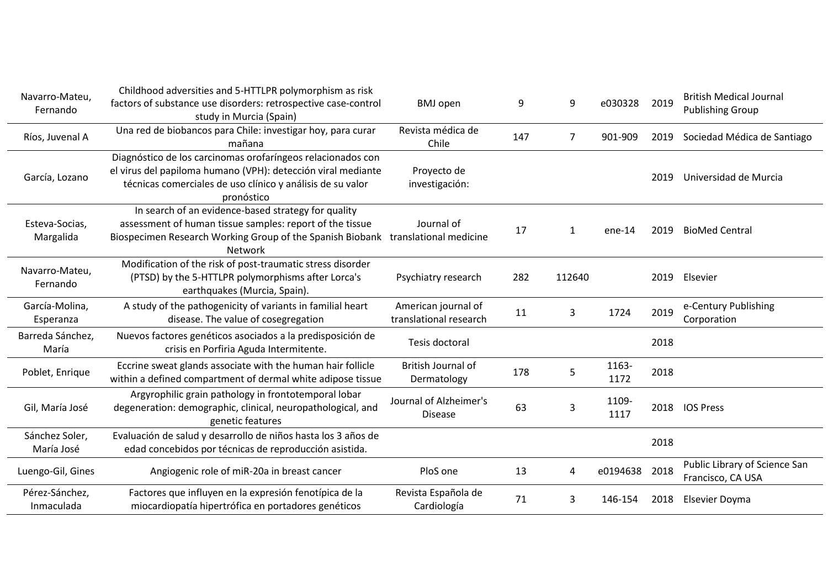| Navarro-Mateu,<br>Fernando   | Childhood adversities and 5-HTTLPR polymorphism as risk<br>factors of substance use disorders: retrospective case-control<br>study in Murcia (Spain)                                                    | <b>BMJ</b> open                               | 9   | 9              | e030328       | 2019 | <b>British Medical Journal</b><br><b>Publishing Group</b> |
|------------------------------|---------------------------------------------------------------------------------------------------------------------------------------------------------------------------------------------------------|-----------------------------------------------|-----|----------------|---------------|------|-----------------------------------------------------------|
| Ríos, Juvenal A              | Una red de biobancos para Chile: investigar hoy, para curar<br>mañana                                                                                                                                   | Revista médica de<br>Chile                    | 147 | $\overline{7}$ | 901-909       | 2019 | Sociedad Médica de Santiago                               |
| García, Lozano               | Diagnóstico de los carcinomas orofaríngeos relacionados con<br>el virus del papiloma humano (VPH): detección viral mediante<br>técnicas comerciales de uso clínico y análisis de su valor<br>pronóstico | Proyecto de<br>investigación:                 |     |                |               | 2019 | Universidad de Murcia                                     |
| Esteva-Socias,<br>Margalida  | In search of an evidence-based strategy for quality<br>assessment of human tissue samples: report of the tissue<br>Biospecimen Research Working Group of the Spanish Biobank<br><b>Network</b>          | Journal of<br>translational medicine          | 17  | $\mathbf{1}$   | $ene-14$      | 2019 | <b>BioMed Central</b>                                     |
| Navarro-Mateu,<br>Fernando   | Modification of the risk of post-traumatic stress disorder<br>(PTSD) by the 5-HTTLPR polymorphisms after Lorca's<br>earthquakes (Murcia, Spain).                                                        | Psychiatry research                           | 282 | 112640         |               | 2019 | Elsevier                                                  |
| García-Molina,<br>Esperanza  | A study of the pathogenicity of variants in familial heart<br>disease. The value of cosegregation                                                                                                       | American journal of<br>translational research | 11  | 3              | 1724          | 2019 | e-Century Publishing<br>Corporation                       |
| Barreda Sánchez,<br>María    | Nuevos factores genéticos asociados a la predisposición de<br>crisis en Porfiria Aguda Intermitente.                                                                                                    | Tesis doctoral                                |     |                |               | 2018 |                                                           |
| Poblet, Enrique              | Eccrine sweat glands associate with the human hair follicle<br>within a defined compartment of dermal white adipose tissue                                                                              | British Journal of<br>Dermatology             | 178 | 5              | 1163-<br>1172 | 2018 |                                                           |
| Gil, María José              | Argyrophilic grain pathology in frontotemporal lobar<br>degeneration: demographic, clinical, neuropathological, and<br>genetic features                                                                 | Journal of Alzheimer's<br><b>Disease</b>      | 63  | 3              | 1109-<br>1117 | 2018 | <b>IOS Press</b>                                          |
| Sánchez Soler,<br>María José | Evaluación de salud y desarrollo de niños hasta los 3 años de<br>edad concebidos por técnicas de reproducción asistida.                                                                                 |                                               |     |                |               | 2018 |                                                           |
| Luengo-Gil, Gines            | Angiogenic role of miR-20a in breast cancer                                                                                                                                                             | PloS one                                      | 13  | Δ              | e0194638      | 2018 | Public Library of Science San<br>Francisco, CA USA        |
| Pérez-Sánchez,<br>Inmaculada | Factores que influyen en la expresión fenotípica de la<br>miocardiopatía hipertrófica en portadores genéticos                                                                                           | Revista Española de<br>Cardiología            | 71  | 3              | 146-154       | 2018 | Elsevier Doyma                                            |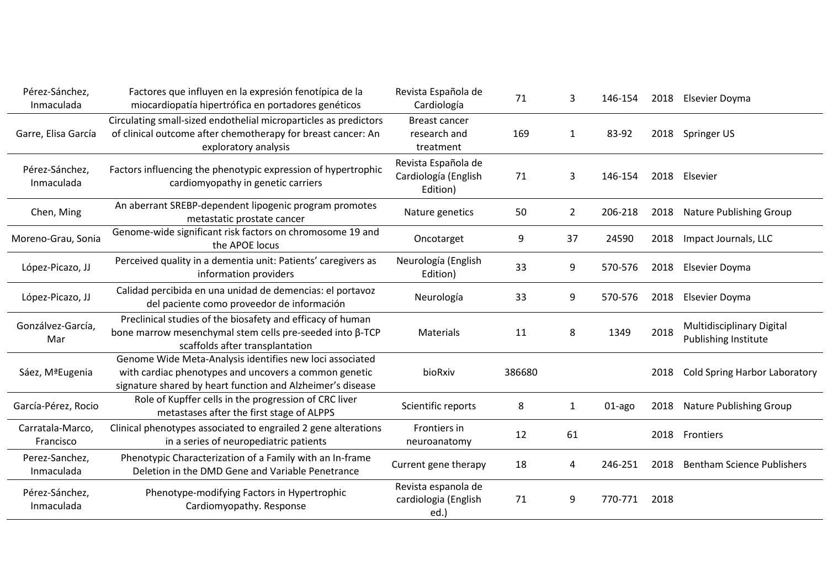| Pérez-Sánchez,<br>Inmaculada  | Factores que influyen en la expresión fenotípica de la<br>miocardiopatía hipertrófica en portadores genéticos                                                                   | Revista Española de<br>Cardiología                      | 71     | 3              | 146-154 | 2018 | Elsevier Doyma                                    |
|-------------------------------|---------------------------------------------------------------------------------------------------------------------------------------------------------------------------------|---------------------------------------------------------|--------|----------------|---------|------|---------------------------------------------------|
| Garre, Elisa García           | Circulating small-sized endothelial microparticles as predictors<br>of clinical outcome after chemotherapy for breast cancer: An<br>exploratory analysis                        | <b>Breast cancer</b><br>research and<br>treatment       | 169    | $\mathbf{1}$   | 83-92   | 2018 | Springer US                                       |
| Pérez-Sánchez,<br>Inmaculada  | Factors influencing the phenotypic expression of hypertrophic<br>cardiomyopathy in genetic carriers                                                                             | Revista Española de<br>Cardiología (English<br>Edition) | 71     | 3              | 146-154 | 2018 | Elsevier                                          |
| Chen, Ming                    | An aberrant SREBP-dependent lipogenic program promotes<br>metastatic prostate cancer                                                                                            | Nature genetics                                         | 50     | $\overline{2}$ | 206-218 | 2018 | Nature Publishing Group                           |
| Moreno-Grau, Sonia            | Genome-wide significant risk factors on chromosome 19 and<br>the APOE locus                                                                                                     | Oncotarget                                              | 9      | 37             | 24590   | 2018 | Impact Journals, LLC                              |
| López-Picazo, JJ              | Perceived quality in a dementia unit: Patients' caregivers as<br>information providers                                                                                          | Neurología (English<br>Edition)                         | 33     | 9              | 570-576 | 2018 | Elsevier Doyma                                    |
| López-Picazo, JJ              | Calidad percibida en una unidad de demencias: el portavoz<br>del paciente como proveedor de información                                                                         | Neurología                                              | 33     | 9              | 570-576 | 2018 | Elsevier Doyma                                    |
| Gonzálvez-García,<br>Mar      | Preclinical studies of the biosafety and efficacy of human<br>bone marrow mesenchymal stem cells pre-seeded into β-TCP<br>scaffolds after transplantation                       | Materials                                               | 11     | 8              | 1349    | 2018 | Multidisciplinary Digital<br>Publishing Institute |
| Sáez, MªEugenia               | Genome Wide Meta-Analysis identifies new loci associated<br>with cardiac phenotypes and uncovers a common genetic<br>signature shared by heart function and Alzheimer's disease | bioRxiv                                                 | 386680 |                |         | 2018 | <b>Cold Spring Harbor Laboratory</b>              |
| García-Pérez, Rocio           | Role of Kupffer cells in the progression of CRC liver<br>metastases after the first stage of ALPPS                                                                              | Scientific reports                                      | 8      | $\mathbf{1}$   | 01-ago  | 2018 | Nature Publishing Group                           |
| Carratala-Marco,<br>Francisco | Clinical phenotypes associated to engrailed 2 gene alterations<br>in a series of neuropediatric patients                                                                        | Frontiers in<br>neuroanatomy                            | 12     | 61             |         | 2018 | Frontiers                                         |
| Perez-Sanchez,<br>Inmaculada  | Phenotypic Characterization of a Family with an In-frame<br>Deletion in the DMD Gene and Variable Penetrance                                                                    | Current gene therapy                                    | 18     | 4              | 246-251 | 2018 | <b>Bentham Science Publishers</b>                 |
| Pérez-Sánchez,<br>Inmaculada  | Phenotype-modifying Factors in Hypertrophic<br>Cardiomyopathy. Response                                                                                                         | Revista espanola de<br>cardiologia (English<br>ed.)     | 71     | 9              | 770-771 | 2018 |                                                   |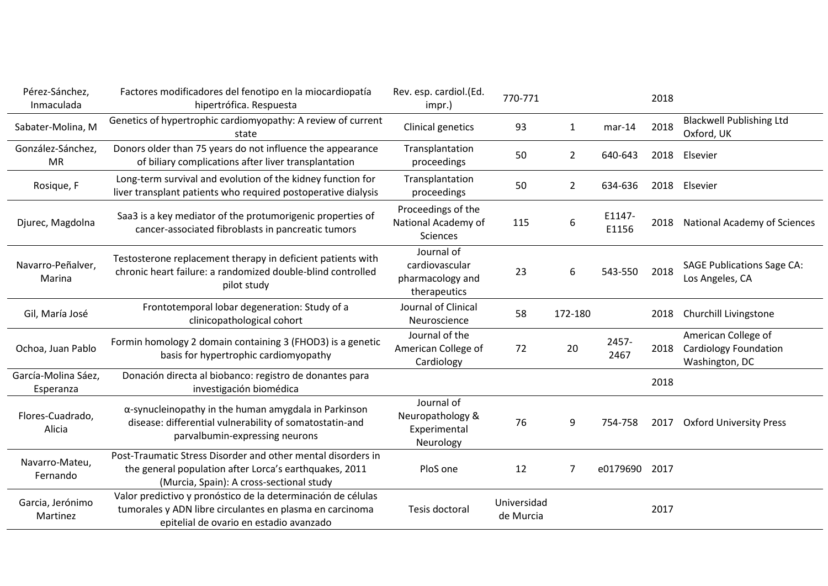| Pérez-Sánchez,<br>Inmaculada     | Factores modificadores del fenotipo en la miocardiopatía<br>hipertrófica. Respuesta                                                                                 | Rev. esp. cardiol.(Ed.<br>impr.)                                 | 770-771                  |              |                 | 2018 |                                                                       |
|----------------------------------|---------------------------------------------------------------------------------------------------------------------------------------------------------------------|------------------------------------------------------------------|--------------------------|--------------|-----------------|------|-----------------------------------------------------------------------|
| Sabater-Molina, M                | Genetics of hypertrophic cardiomyopathy: A review of current<br>state                                                                                               | Clinical genetics                                                | 93                       | $\mathbf{1}$ | $mar-14$        | 2018 | <b>Blackwell Publishing Ltd</b><br>Oxford, UK                         |
| González-Sánchez,<br><b>MR</b>   | Donors older than 75 years do not influence the appearance<br>of biliary complications after liver transplantation                                                  | Transplantation<br>proceedings                                   | 50                       | 2            | 640-643         | 2018 | Elsevier                                                              |
| Rosique, F                       | Long-term survival and evolution of the kidney function for<br>liver transplant patients who required postoperative dialysis                                        | Transplantation<br>proceedings                                   | 50                       | 2            | 634-636         | 2018 | Elsevier                                                              |
| Djurec, Magdolna                 | Saa3 is a key mediator of the protumorigenic properties of<br>cancer-associated fibroblasts in pancreatic tumors                                                    | Proceedings of the<br>National Academy of<br><b>Sciences</b>     | 115                      | 6            | E1147-<br>E1156 |      | 2018 National Academy of Sciences                                     |
| Navarro-Peñalver,<br>Marina      | Testosterone replacement therapy in deficient patients with<br>chronic heart failure: a randomized double-blind controlled<br>pilot study                           | Journal of<br>cardiovascular<br>pharmacology and<br>therapeutics | 23                       | 6            | 543-550         | 2018 | <b>SAGE Publications Sage CA:</b><br>Los Angeles, CA                  |
| Gil, María José                  | Frontotemporal lobar degeneration: Study of a<br>clinicopathological cohort                                                                                         | Journal of Clinical<br>Neuroscience                              | 58                       | 172-180      |                 | 2018 | Churchill Livingstone                                                 |
| Ochoa, Juan Pablo                | Formin homology 2 domain containing 3 (FHOD3) is a genetic<br>basis for hypertrophic cardiomyopathy                                                                 | Journal of the<br>American College of<br>Cardiology              | 72                       | 20           | 2457-<br>2467   | 2018 | American College of<br><b>Cardiology Foundation</b><br>Washington, DC |
| García-Molina Sáez,<br>Esperanza | Donación directa al biobanco: registro de donantes para<br>investigación biomédica                                                                                  |                                                                  |                          |              |                 | 2018 |                                                                       |
| Flores-Cuadrado,<br>Alicia       | $\alpha$ -synucleinopathy in the human amygdala in Parkinson<br>disease: differential vulnerability of somatostatin-and<br>parvalbumin-expressing neurons           | Journal of<br>Neuropathology &<br>Experimental<br>Neurology      | 76                       | 9            | 754-758         | 2017 | <b>Oxford University Press</b>                                        |
| Navarro-Mateu,<br>Fernando       | Post-Traumatic Stress Disorder and other mental disorders in<br>the general population after Lorca's earthquakes, 2011<br>(Murcia, Spain): A cross-sectional study  | PloS one                                                         | 12                       | 7            | e0179690        | 2017 |                                                                       |
| Garcia, Jerónimo<br>Martinez     | Valor predictivo y pronóstico de la determinación de células<br>tumorales y ADN libre circulantes en plasma en carcinoma<br>epitelial de ovario en estadio avanzado | Tesis doctoral                                                   | Universidad<br>de Murcia |              |                 | 2017 |                                                                       |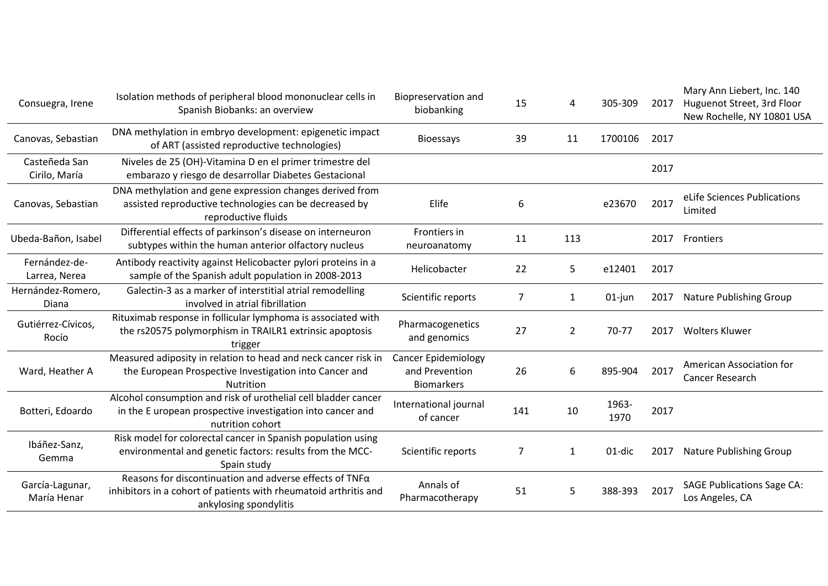| Consuegra, Irene               | Isolation methods of peripheral blood mononuclear cells in<br>Spanish Biobanks: an overview                                                                  | Biopreservation and<br>biobanking                                 | 15  | Δ              | 305-309       | 2017 | Mary Ann Liebert, Inc. 140<br>Huguenot Street, 3rd Floor<br>New Rochelle, NY 10801 USA |
|--------------------------------|--------------------------------------------------------------------------------------------------------------------------------------------------------------|-------------------------------------------------------------------|-----|----------------|---------------|------|----------------------------------------------------------------------------------------|
| Canovas, Sebastian             | DNA methylation in embryo development: epigenetic impact<br>of ART (assisted reproductive technologies)                                                      | <b>Bioessays</b>                                                  | 39  | 11             | 1700106       | 2017 |                                                                                        |
| Casteñeda San<br>Cirilo, María | Niveles de 25 (OH)-Vitamina D en el primer trimestre del<br>embarazo y riesgo de desarrollar Diabetes Gestacional                                            |                                                                   |     |                |               | 2017 |                                                                                        |
| Canovas, Sebastian             | DNA methylation and gene expression changes derived from<br>assisted reproductive technologies can be decreased by<br>reproductive fluids                    | Elife                                                             | 6   |                | e23670        | 2017 | eLife Sciences Publications<br>Limited                                                 |
| Ubeda-Bañon, Isabel            | Differential effects of parkinson's disease on interneuron<br>subtypes within the human anterior olfactory nucleus                                           | Frontiers in<br>neuroanatomy                                      | 11  | 113            |               | 2017 | Frontiers                                                                              |
| Fernández-de-<br>Larrea, Nerea | Antibody reactivity against Helicobacter pylori proteins in a<br>sample of the Spanish adult population in 2008-2013                                         | Helicobacter                                                      | 22  | 5              | e12401        | 2017 |                                                                                        |
| Hernández-Romero,<br>Diana     | Galectin-3 as a marker of interstitial atrial remodelling<br>involved in atrial fibrillation                                                                 | Scientific reports                                                | 7   | 1              | $01$ -jun     | 2017 | Nature Publishing Group                                                                |
| Gutiérrez-Cívicos,<br>Rocío    | Rituximab response in follicular lymphoma is associated with<br>the rs20575 polymorphism in TRAILR1 extrinsic apoptosis<br>trigger                           | Pharmacogenetics<br>and genomics                                  | 27  | $\overline{2}$ | 70-77         | 2017 | <b>Wolters Kluwer</b>                                                                  |
| Ward, Heather A                | Measured adiposity in relation to head and neck cancer risk in<br>the European Prospective Investigation into Cancer and<br><b>Nutrition</b>                 | <b>Cancer Epidemiology</b><br>and Prevention<br><b>Biomarkers</b> | 26  | 6              | 895-904       | 2017 | American Association for<br>Cancer Research                                            |
| Botteri, Edoardo               | Alcohol consumption and risk of urothelial cell bladder cancer<br>in the E uropean prospective investigation into cancer and<br>nutrition cohort             | International journal<br>of cancer                                | 141 | 10             | 1963-<br>1970 | 2017 |                                                                                        |
| Ibáñez-Sanz,<br>Gemma          | Risk model for colorectal cancer in Spanish population using<br>environmental and genetic factors: results from the MCC-<br>Spain study                      | Scientific reports                                                | 7   | 1              | 01-dic        | 2017 | Nature Publishing Group                                                                |
| García-Lagunar,<br>María Henar | Reasons for discontinuation and adverse effects of $TNF\alpha$<br>inhibitors in a cohort of patients with rheumatoid arthritis and<br>ankylosing spondylitis | Annals of<br>Pharmacotherapy                                      | 51  | 5              | 388-393       | 2017 | <b>SAGE Publications Sage CA:</b><br>Los Angeles, CA                                   |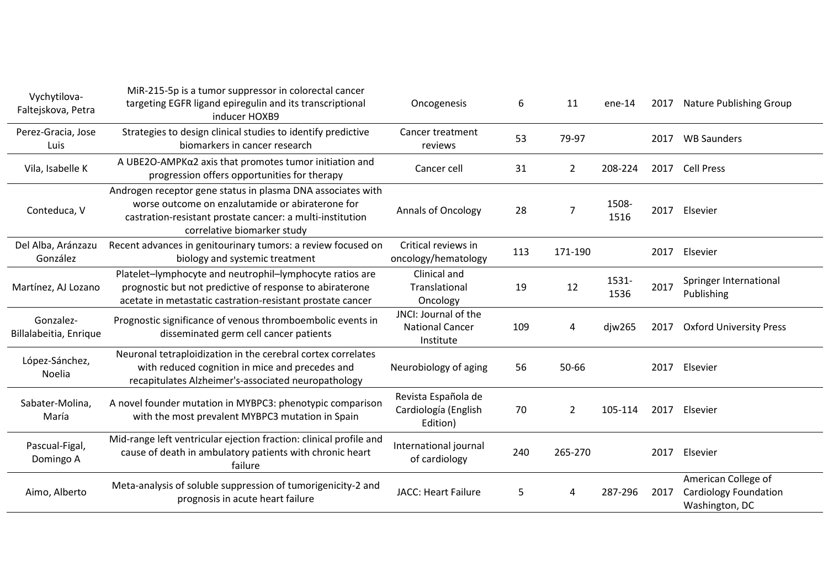| Vychytilova-<br>Faltejskova, Petra  | MiR-215-5p is a tumor suppressor in colorectal cancer<br>targeting EGFR ligand epiregulin and its transcriptional<br>inducer HOXB9                                                                          | Oncogenesis                                                 | 6   | 11             | $ene-14$      | 2017 | <b>Nature Publishing Group</b>                                        |
|-------------------------------------|-------------------------------------------------------------------------------------------------------------------------------------------------------------------------------------------------------------|-------------------------------------------------------------|-----|----------------|---------------|------|-----------------------------------------------------------------------|
| Perez-Gracia, Jose<br>Luis          | Strategies to design clinical studies to identify predictive<br>biomarkers in cancer research                                                                                                               | Cancer treatment<br>reviews                                 | 53  | 79-97          |               | 2017 | <b>WB Saunders</b>                                                    |
| Vila, Isabelle K                    | A UBE2O-AMPKα2 axis that promotes tumor initiation and<br>progression offers opportunities for therapy                                                                                                      | Cancer cell                                                 | 31  | $\overline{2}$ | 208-224       | 2017 | <b>Cell Press</b>                                                     |
| Conteduca, V                        | Androgen receptor gene status in plasma DNA associates with<br>worse outcome on enzalutamide or abiraterone for<br>castration-resistant prostate cancer: a multi-institution<br>correlative biomarker study | <b>Annals of Oncology</b>                                   | 28  | 7              | 1508-<br>1516 |      | 2017 Elsevier                                                         |
| Del Alba, Aránzazu<br>González      | Recent advances in genitourinary tumors: a review focused on<br>biology and systemic treatment                                                                                                              | Critical reviews in<br>oncology/hematology                  | 113 | 171-190        |               | 2017 | Elsevier                                                              |
| Martínez, AJ Lozano                 | Platelet-lymphocyte and neutrophil-lymphocyte ratios are<br>prognostic but not predictive of response to abiraterone<br>acetate in metastatic castration-resistant prostate cancer                          | Clinical and<br>Translational<br>Oncology                   | 19  | 12             | 1531-<br>1536 | 2017 | Springer International<br>Publishing                                  |
| Gonzalez-<br>Billalabeitia, Enrique | Prognostic significance of venous thromboembolic events in<br>disseminated germ cell cancer patients                                                                                                        | JNCI: Journal of the<br><b>National Cancer</b><br>Institute | 109 | 4              | djw265        | 2017 | <b>Oxford University Press</b>                                        |
| López-Sánchez,<br>Noelia            | Neuronal tetraploidization in the cerebral cortex correlates<br>with reduced cognition in mice and precedes and<br>recapitulates Alzheimer's-associated neuropathology                                      | Neurobiology of aging                                       | 56  | 50-66          |               |      | 2017 Elsevier                                                         |
| Sabater-Molina,<br>María            | A novel founder mutation in MYBPC3: phenotypic comparison<br>with the most prevalent MYBPC3 mutation in Spain                                                                                               | Revista Española de<br>Cardiología (English<br>Edition)     | 70  | $\overline{2}$ | 105-114       | 2017 | Elsevier                                                              |
| Pascual-Figal,<br>Domingo A         | Mid-range left ventricular ejection fraction: clinical profile and<br>cause of death in ambulatory patients with chronic heart<br>failure                                                                   | International journal<br>of cardiology                      | 240 | 265-270        |               | 2017 | Elsevier                                                              |
| Aimo, Alberto                       | Meta-analysis of soluble suppression of tumorigenicity-2 and<br>prognosis in acute heart failure                                                                                                            | <b>JACC: Heart Failure</b>                                  | 5   | 4              | 287-296       | 2017 | American College of<br><b>Cardiology Foundation</b><br>Washington, DC |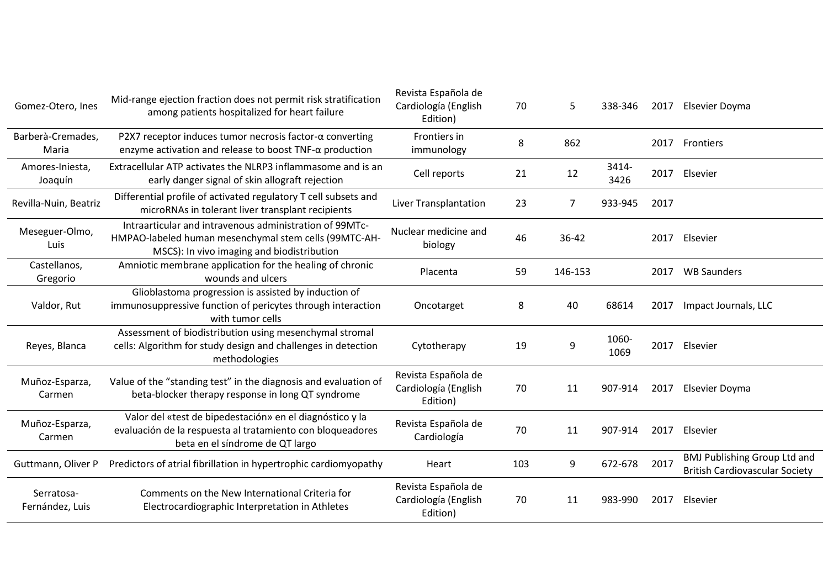| Gomez-Otero, Ines             | Mid-range ejection fraction does not permit risk stratification<br>among patients hospitalized for heart failure                                               | Revista Española de<br>Cardiología (English<br>Edition) | 70  | 5              | 338-346       | 2017 | Elsevier Doyma                                                               |
|-------------------------------|----------------------------------------------------------------------------------------------------------------------------------------------------------------|---------------------------------------------------------|-----|----------------|---------------|------|------------------------------------------------------------------------------|
| Barberà-Cremades,<br>Maria    | P2X7 receptor induces tumor necrosis factor- $\alpha$ converting<br>enzyme activation and release to boost $TNF-\alpha$ production                             | Frontiers in<br>immunology                              | 8   | 862            |               | 2017 | <b>Frontiers</b>                                                             |
| Amores-Iniesta,<br>Joaquín    | Extracellular ATP activates the NLRP3 inflammasome and is an<br>early danger signal of skin allograft rejection                                                | Cell reports                                            | 21  | 12             | 3414-<br>3426 | 2017 | Elsevier                                                                     |
| Revilla-Nuin, Beatriz         | Differential profile of activated regulatory T cell subsets and<br>microRNAs in tolerant liver transplant recipients                                           | Liver Transplantation                                   | 23  | $\overline{7}$ | 933-945       | 2017 |                                                                              |
| Meseguer-Olmo,<br>Luis        | Intraarticular and intravenous administration of 99MTc-<br>HMPAO-labeled human mesenchymal stem cells (99MTC-AH-<br>MSCS): In vivo imaging and biodistribution | Nuclear medicine and<br>biology                         | 46  | 36-42          |               | 2017 | Elsevier                                                                     |
| Castellanos,<br>Gregorio      | Amniotic membrane application for the healing of chronic<br>wounds and ulcers                                                                                  | Placenta                                                | 59  | 146-153        |               | 2017 | <b>WB Saunders</b>                                                           |
| Valdor, Rut                   | Glioblastoma progression is assisted by induction of<br>immunosuppressive function of pericytes through interaction<br>with tumor cells                        | Oncotarget                                              | 8   | 40             | 68614         | 2017 | Impact Journals, LLC                                                         |
| Reyes, Blanca                 | Assessment of biodistribution using mesenchymal stromal<br>cells: Algorithm for study design and challenges in detection<br>methodologies                      | Cytotherapy                                             | 19  | 9              | 1060-<br>1069 | 2017 | Elsevier                                                                     |
| Muñoz-Esparza,<br>Carmen      | Value of the "standing test" in the diagnosis and evaluation of<br>beta-blocker therapy response in long QT syndrome                                           | Revista Española de<br>Cardiología (English<br>Edition) | 70  | 11             | 907-914       | 2017 | Elsevier Doyma                                                               |
| Muñoz-Esparza,<br>Carmen      | Valor del «test de bipedestación» en el diagnóstico y la<br>evaluación de la respuesta al tratamiento con bloqueadores<br>beta en el síndrome de QT largo      | Revista Española de<br>Cardiología                      | 70  | 11             | 907-914       | 2017 | Elsevier                                                                     |
| Guttmann, Oliver P            | Predictors of atrial fibrillation in hypertrophic cardiomyopathy                                                                                               | Heart                                                   | 103 | 9              | 672-678       | 2017 | <b>BMJ Publishing Group Ltd and</b><br><b>British Cardiovascular Society</b> |
| Serratosa-<br>Fernández, Luis | Comments on the New International Criteria for<br>Electrocardiographic Interpretation in Athletes                                                              | Revista Española de<br>Cardiología (English<br>Edition) | 70  | 11             | 983-990       | 2017 | Elsevier                                                                     |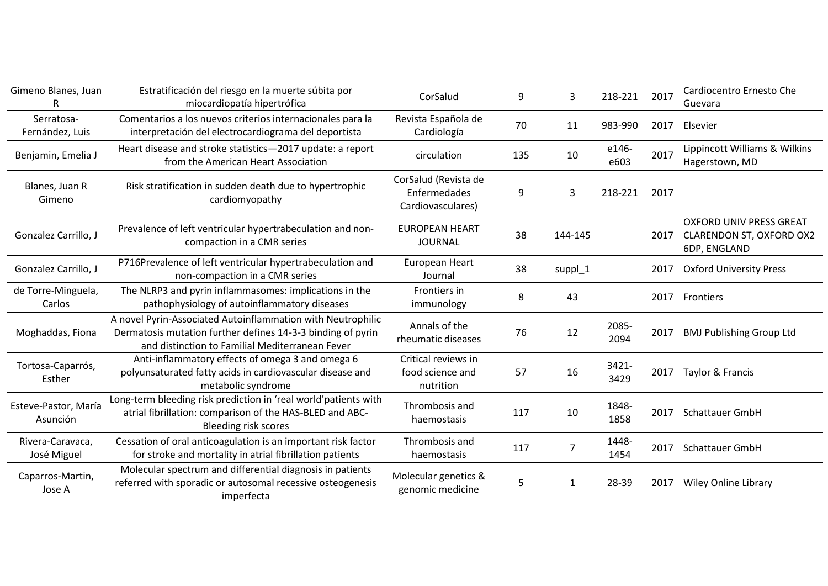| Gimeno Blanes, Juan              | Estratificación del riesgo en la muerte súbita por<br>miocardiopatía hipertrófica                                                                                             | CorSalud                                                  | 9   | 3              | 218-221       | 2017 | Cardiocentro Ernesto Che<br>Guevara                                               |
|----------------------------------|-------------------------------------------------------------------------------------------------------------------------------------------------------------------------------|-----------------------------------------------------------|-----|----------------|---------------|------|-----------------------------------------------------------------------------------|
| Serratosa-<br>Fernández, Luis    | Comentarios a los nuevos criterios internacionales para la<br>interpretación del electrocardiograma del deportista                                                            | Revista Española de<br>Cardiología                        | 70  | 11             | 983-990       | 2017 | Elsevier                                                                          |
| Benjamin, Emelia J               | Heart disease and stroke statistics-2017 update: a report<br>from the American Heart Association                                                                              | circulation                                               | 135 | 10             | e146-<br>e603 | 2017 | Lippincott Williams & Wilkins<br>Hagerstown, MD                                   |
| Blanes, Juan R<br>Gimeno         | Risk stratification in sudden death due to hypertrophic<br>cardiomyopathy                                                                                                     | CorSalud (Revista de<br>Enfermedades<br>Cardiovasculares) | 9   | 3              | 218-221       | 2017 |                                                                                   |
| Gonzalez Carrillo, J             | Prevalence of left ventricular hypertrabeculation and non-<br>compaction in a CMR series                                                                                      | <b>EUROPEAN HEART</b><br><b>JOURNAL</b>                   | 38  | 144-145        |               | 2017 | <b>OXFORD UNIV PRESS GREAT</b><br><b>CLARENDON ST, OXFORD OX2</b><br>6DP, ENGLAND |
| Gonzalez Carrillo, J             | P716Prevalence of left ventricular hypertrabeculation and<br>non-compaction in a CMR series                                                                                   | European Heart<br>Journal                                 | 38  | suppl_1        |               | 2017 | <b>Oxford University Press</b>                                                    |
| de Torre-Minguela,<br>Carlos     | The NLRP3 and pyrin inflammasomes: implications in the<br>pathophysiology of autoinflammatory diseases                                                                        | Frontiers in<br>immunology                                | 8   | 43             |               | 2017 | Frontiers                                                                         |
| Moghaddas, Fiona                 | A novel Pyrin-Associated Autoinflammation with Neutrophilic<br>Dermatosis mutation further defines 14-3-3 binding of pyrin<br>and distinction to Familial Mediterranean Fever | Annals of the<br>rheumatic diseases                       | 76  | 12             | 2085-<br>2094 | 2017 | <b>BMJ Publishing Group Ltd</b>                                                   |
| Tortosa-Caparrós,<br>Esther      | Anti-inflammatory effects of omega 3 and omega 6<br>polyunsaturated fatty acids in cardiovascular disease and<br>metabolic syndrome                                           | Critical reviews in<br>food science and<br>nutrition      | 57  | 16             | 3421-<br>3429 | 2017 | Taylor & Francis                                                                  |
| Esteve-Pastor, María<br>Asunción | Long-term bleeding risk prediction in 'real world'patients with<br>atrial fibrillation: comparison of the HAS-BLED and ABC-<br><b>Bleeding risk scores</b>                    | Thrombosis and<br>haemostasis                             | 117 | 10             | 1848-<br>1858 |      | 2017 Schattauer GmbH                                                              |
| Rivera-Caravaca,<br>José Miguel  | Cessation of oral anticoagulation is an important risk factor<br>for stroke and mortality in atrial fibrillation patients                                                     | Thrombosis and<br>haemostasis                             | 117 | $\overline{7}$ | 1448-<br>1454 | 2017 | Schattauer GmbH                                                                   |
| Caparros-Martin,<br>Jose A       | Molecular spectrum and differential diagnosis in patients<br>referred with sporadic or autosomal recessive osteogenesis<br>imperfecta                                         | Molecular genetics &<br>genomic medicine                  | 5   | 1              | 28-39         | 2017 | <b>Wiley Online Library</b>                                                       |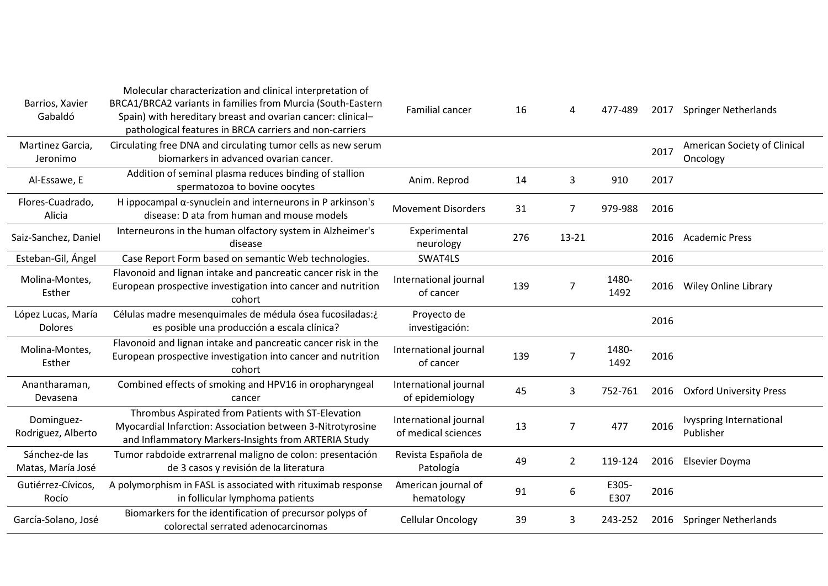| Barrios, Xavier<br>Gabaldó           | Molecular characterization and clinical interpretation of<br>BRCA1/BRCA2 variants in families from Murcia (South-Eastern<br>Spain) with hereditary breast and ovarian cancer: clinical-<br>pathological features in BRCA carriers and non-carriers | Familial cancer                              | 16  | 4              | 477-489       | 2017 | <b>Springer Netherlands</b>                 |
|--------------------------------------|----------------------------------------------------------------------------------------------------------------------------------------------------------------------------------------------------------------------------------------------------|----------------------------------------------|-----|----------------|---------------|------|---------------------------------------------|
| Martinez Garcia,<br>Jeronimo         | Circulating free DNA and circulating tumor cells as new serum<br>biomarkers in advanced ovarian cancer.                                                                                                                                            |                                              |     |                |               | 2017 | American Society of Clinical<br>Oncology    |
| Al-Essawe, E                         | Addition of seminal plasma reduces binding of stallion<br>spermatozoa to bovine oocytes                                                                                                                                                            | Anim. Reprod                                 | 14  | 3              | 910           | 2017 |                                             |
| Flores-Cuadrado,<br>Alicia           | H ippocampal $\alpha$ -synuclein and interneurons in P arkinson's<br>disease: D ata from human and mouse models                                                                                                                                    | <b>Movement Disorders</b>                    | 31  | $\overline{7}$ | 979-988       | 2016 |                                             |
| Saiz-Sanchez, Daniel                 | Interneurons in the human olfactory system in Alzheimer's<br>disease                                                                                                                                                                               | Experimental<br>neurology                    | 276 | 13-21          |               | 2016 | <b>Academic Press</b>                       |
| Esteban-Gil, Ángel                   | Case Report Form based on semantic Web technologies.                                                                                                                                                                                               | SWAT4LS                                      |     |                |               | 2016 |                                             |
| Molina-Montes,<br>Esther             | Flavonoid and lignan intake and pancreatic cancer risk in the<br>European prospective investigation into cancer and nutrition<br>cohort                                                                                                            | International journal<br>of cancer           | 139 | 7              | 1480-<br>1492 | 2016 | <b>Wiley Online Library</b>                 |
| López Lucas, María<br><b>Dolores</b> | Células madre mesenquimales de médula ósea fucosiladas:¿<br>es posible una producción a escala clínica?                                                                                                                                            | Proyecto de<br>investigación:                |     |                |               | 2016 |                                             |
| Molina-Montes,<br>Esther             | Flavonoid and lignan intake and pancreatic cancer risk in the<br>European prospective investigation into cancer and nutrition<br>cohort                                                                                                            | International journal<br>of cancer           | 139 | 7              | 1480-<br>1492 | 2016 |                                             |
| Anantharaman,<br>Devasena            | Combined effects of smoking and HPV16 in oropharyngeal<br>cancer                                                                                                                                                                                   | International journal<br>of epidemiology     | 45  | 3              | 752-761       | 2016 | <b>Oxford University Press</b>              |
| Dominguez-<br>Rodriguez, Alberto     | Thrombus Aspirated from Patients with ST-Elevation<br>Myocardial Infarction: Association between 3-Nitrotyrosine<br>and Inflammatory Markers-Insights from ARTERIA Study                                                                           | International journal<br>of medical sciences | 13  | $\overline{7}$ | 477           | 2016 | <b>Ivyspring International</b><br>Publisher |
| Sánchez-de las<br>Matas, María José  | Tumor rabdoide extrarrenal maligno de colon: presentación<br>de 3 casos y revisión de la literatura                                                                                                                                                | Revista Española de<br>Patología             | 49  | $\overline{2}$ | 119-124       | 2016 | Elsevier Doyma                              |
| Gutiérrez-Cívicos,<br>Rocío          | A polymorphism in FASL is associated with rituximab response<br>in follicular lymphoma patients                                                                                                                                                    | American journal of<br>hematology            | 91  | 6              | E305-<br>E307 | 2016 |                                             |
| García-Solano, José                  | Biomarkers for the identification of precursor polyps of<br>colorectal serrated adenocarcinomas                                                                                                                                                    | <b>Cellular Oncology</b>                     | 39  | 3              | 243-252       | 2016 | <b>Springer Netherlands</b>                 |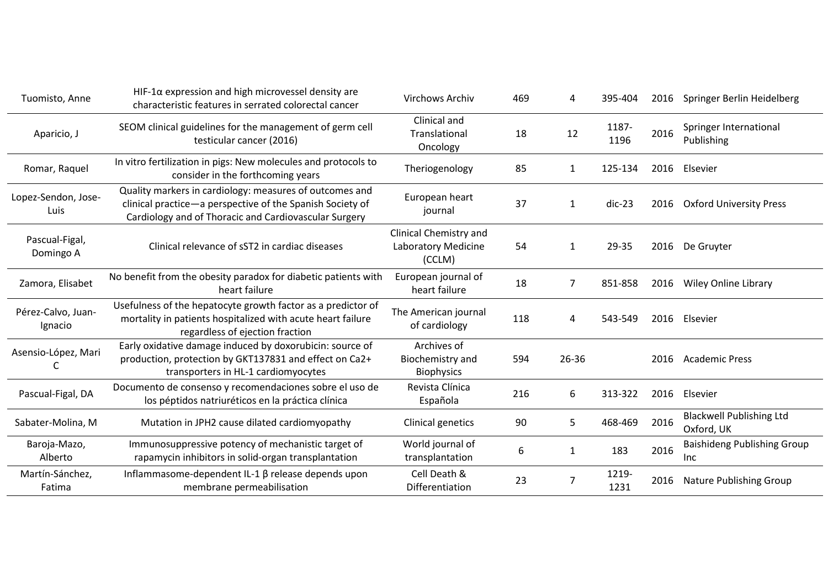| Tuomisto, Anne                | $HIF-1\alpha$ expression and high microvessel density are<br>characteristic features in serrated colorectal cancer                                                            | Virchows Archiv                                         | 469 | 4              | 395-404       |      | 2016 Springer Berlin Heidelberg               |
|-------------------------------|-------------------------------------------------------------------------------------------------------------------------------------------------------------------------------|---------------------------------------------------------|-----|----------------|---------------|------|-----------------------------------------------|
| Aparicio, J                   | SEOM clinical guidelines for the management of germ cell<br>testicular cancer (2016)                                                                                          | Clinical and<br>Translational<br>Oncology               | 18  | 12             | 1187-<br>1196 | 2016 | Springer International<br>Publishing          |
| Romar, Raquel                 | In vitro fertilization in pigs: New molecules and protocols to<br>consider in the forthcoming years                                                                           | Theriogenology                                          | 85  | 1              | 125-134       | 2016 | Elsevier                                      |
| Lopez-Sendon, Jose-<br>Luis   | Quality markers in cardiology: measures of outcomes and<br>clinical practice-a perspective of the Spanish Society of<br>Cardiology and of Thoracic and Cardiovascular Surgery | European heart<br>journal                               | 37  | $\mathbf{1}$   | $dic-23$      | 2016 | <b>Oxford University Press</b>                |
| Pascual-Figal,<br>Domingo A   | Clinical relevance of sST2 in cardiac diseases                                                                                                                                | Clinical Chemistry and<br>Laboratory Medicine<br>(CCLM) | 54  | $\mathbf{1}$   | 29-35         | 2016 | De Gruyter                                    |
| Zamora, Elisabet              | No benefit from the obesity paradox for diabetic patients with<br>heart failure                                                                                               | European journal of<br>heart failure                    | 18  | 7              | 851-858       | 2016 | <b>Wiley Online Library</b>                   |
| Pérez-Calvo, Juan-<br>Ignacio | Usefulness of the hepatocyte growth factor as a predictor of<br>mortality in patients hospitalized with acute heart failure<br>regardless of ejection fraction                | The American journal<br>of cardiology                   | 118 | 4              | 543-549       | 2016 | Elsevier                                      |
| Asensio-López, Mari           | Early oxidative damage induced by doxorubicin: source of<br>production, protection by GKT137831 and effect on Ca2+<br>transporters in HL-1 cardiomyocytes                     | Archives of<br>Biochemistry and<br><b>Biophysics</b>    | 594 | 26-36          |               | 2016 | Academic Press                                |
| Pascual-Figal, DA             | Documento de consenso y recomendaciones sobre el uso de<br>los péptidos natriuréticos en la práctica clínica                                                                  | Revista Clínica<br>Española                             | 216 | 6              | 313-322       | 2016 | Elsevier                                      |
| Sabater-Molina, M             | Mutation in JPH2 cause dilated cardiomyopathy                                                                                                                                 | Clinical genetics                                       | 90  | 5              | 468-469       | 2016 | <b>Blackwell Publishing Ltd</b><br>Oxford, UK |
| Baroja-Mazo,<br>Alberto       | Immunosuppressive potency of mechanistic target of<br>rapamycin inhibitors in solid-organ transplantation                                                                     | World journal of<br>transplantation                     | 6   | $\mathbf{1}$   | 183           | 2016 | <b>Baishideng Publishing Group</b><br>Inc     |
| Martín-Sánchez,<br>Fatima     | Inflammasome-dependent IL-1 β release depends upon<br>membrane permeabilisation                                                                                               | Cell Death &<br>Differentiation                         | 23  | $\overline{7}$ | 1219-<br>1231 | 2016 | Nature Publishing Group                       |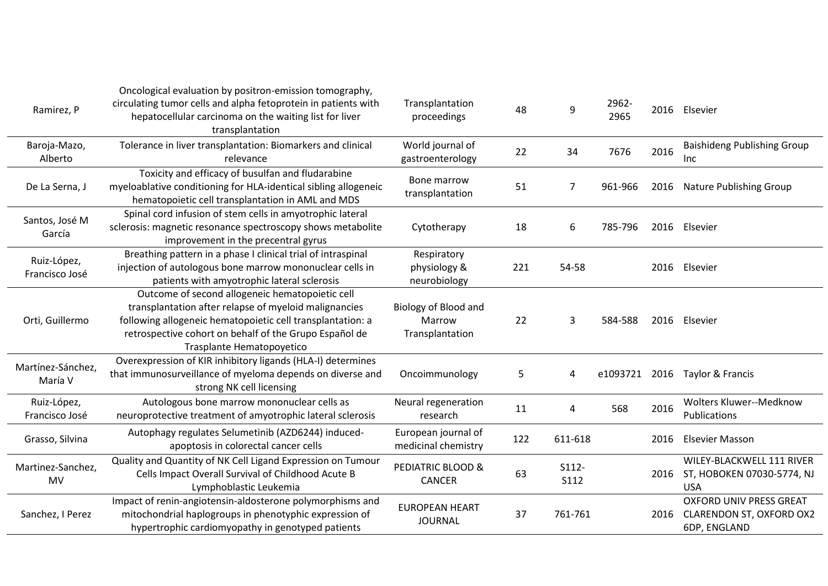| Ramirez, P                    | Oncological evaluation by positron-emission tomography,<br>circulating tumor cells and alpha fetoprotein in patients with<br>hepatocellular carcinoma on the waiting list for liver<br>transplantation                                                        | Transplantation<br>proceedings                    | 48  | 9                    | 2962-<br>2965 |      | 2016 Elsevier                                                                   |
|-------------------------------|---------------------------------------------------------------------------------------------------------------------------------------------------------------------------------------------------------------------------------------------------------------|---------------------------------------------------|-----|----------------------|---------------|------|---------------------------------------------------------------------------------|
| Baroja-Mazo,<br>Alberto       | Tolerance in liver transplantation: Biomarkers and clinical<br>relevance                                                                                                                                                                                      | World journal of<br>gastroenterology              | 22  | 34                   | 7676          | 2016 | <b>Baishideng Publishing Group</b><br>Inc                                       |
| De La Serna, J                | Toxicity and efficacy of busulfan and fludarabine<br>myeloablative conditioning for HLA-identical sibling allogeneic<br>hematopoietic cell transplantation in AML and MDS                                                                                     | Bone marrow<br>transplantation                    | 51  | 7                    | 961-966       |      | 2016 Nature Publishing Group                                                    |
| Santos, José M<br>García      | Spinal cord infusion of stem cells in amyotrophic lateral<br>sclerosis: magnetic resonance spectroscopy shows metabolite<br>improvement in the precentral gyrus                                                                                               | Cytotherapy                                       | 18  | 6                    | 785-796       |      | 2016 Elsevier                                                                   |
| Ruiz-López,<br>Francisco José | Breathing pattern in a phase I clinical trial of intraspinal<br>injection of autologous bone marrow mononuclear cells in<br>patients with amyotrophic lateral sclerosis                                                                                       | Respiratory<br>physiology &<br>neurobiology       | 221 | 54-58                |               | 2016 | Elsevier                                                                        |
| Orti, Guillermo               | Outcome of second allogeneic hematopoietic cell<br>transplantation after relapse of myeloid malignancies<br>following allogeneic hematopoietic cell transplantation: a<br>retrospective cohort on behalf of the Grupo Español de<br>Trasplante Hematopoyetico | Biology of Blood and<br>Marrow<br>Transplantation | 22  | 3                    | 584-588       |      | 2016 Elsevier                                                                   |
| Martínez-Sánchez,<br>María V  | Overexpression of KIR inhibitory ligands (HLA-I) determines<br>that immunosurveillance of myeloma depends on diverse and<br>strong NK cell licensing                                                                                                          | Oncoimmunology                                    | 5   | 4                    | e1093721      |      | 2016 Taylor & Francis                                                           |
| Ruiz-López,<br>Francisco José | Autologous bone marrow mononuclear cells as<br>neuroprotective treatment of amyotrophic lateral sclerosis                                                                                                                                                     | Neural regeneration<br>research                   | 11  | 4                    | 568           | 2016 | Wolters Kluwer--Medknow<br>Publications                                         |
| Grasso, Silvina               | Autophagy regulates Selumetinib (AZD6244) induced-<br>apoptosis in colorectal cancer cells                                                                                                                                                                    | European journal of<br>medicinal chemistry        | 122 | 611-618              |               | 2016 | <b>Elsevier Masson</b>                                                          |
| Martinez-Sanchez,<br>MV       | Quality and Quantity of NK Cell Ligand Expression on Tumour<br>Cells Impact Overall Survival of Childhood Acute B<br>Lymphoblastic Leukemia                                                                                                                   | PEDIATRIC BLOOD &<br><b>CANCER</b>                | 63  | S112-<br><b>S112</b> |               |      | WILEY-BLACKWELL 111 RIVER<br>2016 ST, HOBOKEN 07030-5774, NJ<br><b>USA</b>      |
| Sanchez, I Perez              | Impact of renin-angiotensin-aldosterone polymorphisms and<br>mitochondrial haplogroups in phenotyphic expression of<br>hypertrophic cardiomyopathy in genotyped patients                                                                                      | <b>EUROPEAN HEART</b><br><b>JOURNAL</b>           | 37  | 761-761              |               |      | <b>OXFORD UNIV PRESS GREAT</b><br>2016 CLARENDON ST, OXFORD OX2<br>6DP, ENGLAND |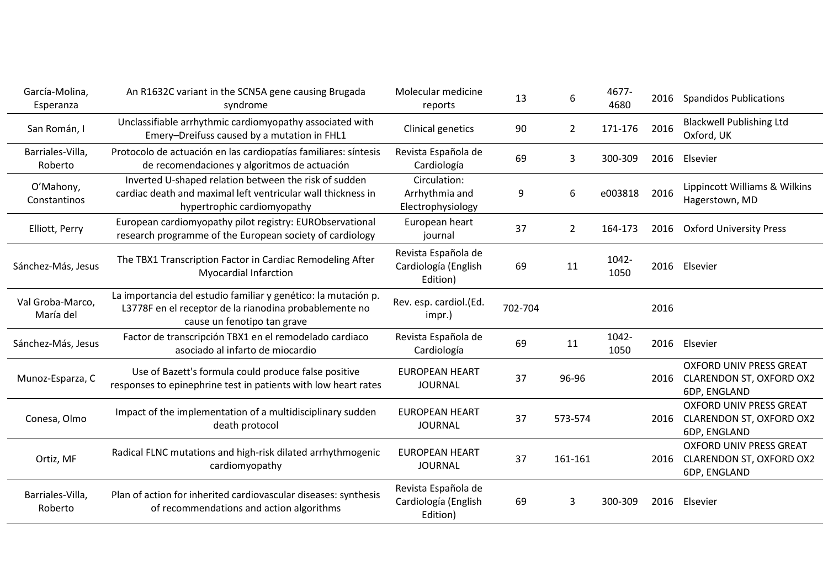| García-Molina,<br>Esperanza   | An R1632C variant in the SCN5A gene causing Brugada<br>syndrome                                                                                         | Molecular medicine<br>reports                           | 13      | 6              | 4677-<br>4680 | 2016 | <b>Spandidos Publications</b>                                                     |
|-------------------------------|---------------------------------------------------------------------------------------------------------------------------------------------------------|---------------------------------------------------------|---------|----------------|---------------|------|-----------------------------------------------------------------------------------|
| San Román, I                  | Unclassifiable arrhythmic cardiomyopathy associated with<br>Emery-Dreifuss caused by a mutation in FHL1                                                 | <b>Clinical genetics</b>                                | 90      | $\overline{2}$ | 171-176       | 2016 | <b>Blackwell Publishing Ltd</b><br>Oxford, UK                                     |
| Barriales-Villa,<br>Roberto   | Protocolo de actuación en las cardiopatías familiares: síntesis<br>de recomendaciones y algoritmos de actuación                                         | Revista Española de<br>Cardiología                      | 69      | 3              | 300-309       | 2016 | Elsevier                                                                          |
| O'Mahony,<br>Constantinos     | Inverted U-shaped relation between the risk of sudden<br>cardiac death and maximal left ventricular wall thickness in<br>hypertrophic cardiomyopathy    | Circulation:<br>Arrhythmia and<br>Electrophysiology     | 9       | 6              | e003818       | 2016 | Lippincott Williams & Wilkins<br>Hagerstown, MD                                   |
| Elliott, Perry                | European cardiomyopathy pilot registry: EURObservational<br>research programme of the European society of cardiology                                    | European heart<br>journal                               | 37      | $\overline{2}$ | 164-173       | 2016 | <b>Oxford University Press</b>                                                    |
| Sánchez-Más, Jesus            | The TBX1 Transcription Factor in Cardiac Remodeling After<br><b>Myocardial Infarction</b>                                                               | Revista Española de<br>Cardiología (English<br>Edition) | 69      | 11             | 1042-<br>1050 |      | 2016 Elsevier                                                                     |
| Val Groba-Marco,<br>María del | La importancia del estudio familiar y genético: la mutación p.<br>L3778F en el receptor de la rianodina probablemente no<br>cause un fenotipo tan grave | Rev. esp. cardiol.(Ed.<br>impr.)                        | 702-704 |                |               | 2016 |                                                                                   |
| Sánchez-Más, Jesus            | Factor de transcripción TBX1 en el remodelado cardiaco<br>asociado al infarto de miocardio                                                              | Revista Española de<br>Cardiología                      | 69      | 11             | 1042-<br>1050 |      | 2016 Elsevier                                                                     |
| Munoz-Esparza, C              | Use of Bazett's formula could produce false positive<br>responses to epinephrine test in patients with low heart rates                                  | <b>EUROPEAN HEART</b><br><b>JOURNAL</b>                 | 37      | 96-96          |               | 2016 | <b>OXFORD UNIV PRESS GREAT</b><br><b>CLARENDON ST, OXFORD OX2</b><br>6DP, ENGLAND |
| Conesa, Olmo                  | Impact of the implementation of a multidisciplinary sudden<br>death protocol                                                                            | <b>EUROPEAN HEART</b><br><b>JOURNAL</b>                 | 37      | 573-574        |               | 2016 | <b>OXFORD UNIV PRESS GREAT</b><br>CLARENDON ST, OXFORD OX2<br>6DP, ENGLAND        |
| Ortiz, MF                     | Radical FLNC mutations and high-risk dilated arrhythmogenic<br>cardiomyopathy                                                                           | <b>EUROPEAN HEART</b><br><b>JOURNAL</b>                 | 37      | 161-161        |               | 2016 | <b>OXFORD UNIV PRESS GREAT</b><br>CLARENDON ST, OXFORD OX2<br>6DP, ENGLAND        |
| Barriales-Villa,<br>Roberto   | Plan of action for inherited cardiovascular diseases: synthesis<br>of recommendations and action algorithms                                             | Revista Española de<br>Cardiología (English<br>Edition) | 69      | 3              | 300-309       | 2016 | Elsevier                                                                          |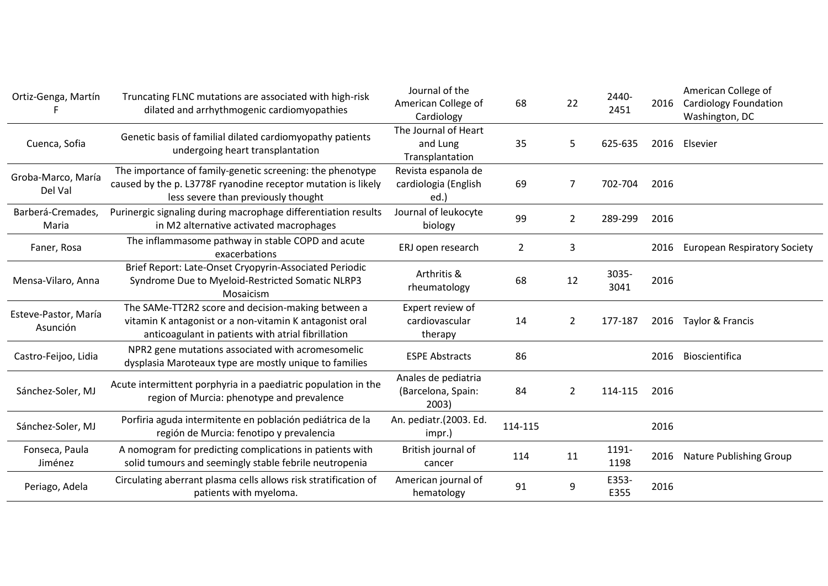| Ortiz-Genga, Martín              | Truncating FLNC mutations are associated with high-risk<br>dilated and arrhythmogenic cardiomyopathies                                                              | Journal of the<br>American College of<br>Cardiology | 68      | 22             | 2440-<br>2451 | 2016 | American College of<br><b>Cardiology Foundation</b><br>Washington, DC |
|----------------------------------|---------------------------------------------------------------------------------------------------------------------------------------------------------------------|-----------------------------------------------------|---------|----------------|---------------|------|-----------------------------------------------------------------------|
| Cuenca, Sofia                    | Genetic basis of familial dilated cardiomyopathy patients<br>undergoing heart transplantation                                                                       | The Journal of Heart<br>and Lung<br>Transplantation | 35      | 5              | 625-635       | 2016 | Elsevier                                                              |
| Groba-Marco, María<br>Del Val    | The importance of family-genetic screening: the phenotype<br>caused by the p. L3778F ryanodine receptor mutation is likely<br>less severe than previously thought   | Revista espanola de<br>cardiologia (English<br>ed.) | 69      | 7              | 702-704       | 2016 |                                                                       |
| Barberá-Cremades,<br>Maria       | Purinergic signaling during macrophage differentiation results<br>in M2 alternative activated macrophages                                                           | Journal of leukocyte<br>biology                     | 99      | $\overline{2}$ | 289-299       | 2016 |                                                                       |
| Faner, Rosa                      | The inflammasome pathway in stable COPD and acute<br>exacerbations                                                                                                  | ERJ open research                                   | 2       | 3              |               | 2016 | <b>European Respiratory Society</b>                                   |
| Mensa-Vilaro, Anna               | Brief Report: Late-Onset Cryopyrin-Associated Periodic<br>Syndrome Due to Myeloid-Restricted Somatic NLRP3<br>Mosaicism                                             | Arthritis &<br>rheumatology                         | 68      | 12             | 3035-<br>3041 | 2016 |                                                                       |
| Esteve-Pastor, María<br>Asunción | The SAMe-TT2R2 score and decision-making between a<br>vitamin K antagonist or a non-vitamin K antagonist oral<br>anticoagulant in patients with atrial fibrillation | Expert review of<br>cardiovascular<br>therapy       | 14      | $\overline{2}$ | 177-187       | 2016 | Taylor & Francis                                                      |
| Castro-Feijoo, Lidia             | NPR2 gene mutations associated with acromesomelic<br>dysplasia Maroteaux type are mostly unique to families                                                         | <b>ESPE Abstracts</b>                               | 86      |                |               | 2016 | Bioscientifica                                                        |
| Sánchez-Soler, MJ                | Acute intermittent porphyria in a paediatric population in the<br>region of Murcia: phenotype and prevalence                                                        | Anales de pediatria<br>(Barcelona, Spain:<br>2003)  | 84      | $\overline{2}$ | 114-115       | 2016 |                                                                       |
| Sánchez-Soler, MJ                | Porfiria aguda intermitente en población pediátrica de la<br>región de Murcia: fenotipo y prevalencia                                                               | An. pediatr.(2003. Ed.<br>impr.)                    | 114-115 |                |               | 2016 |                                                                       |
| Fonseca, Paula<br>Jiménez        | A nomogram for predicting complications in patients with<br>solid tumours and seemingly stable febrile neutropenia                                                  | British journal of<br>cancer                        | 114     | 11             | 1191-<br>1198 | 2016 | <b>Nature Publishing Group</b>                                        |
| Periago, Adela                   | Circulating aberrant plasma cells allows risk stratification of<br>patients with myeloma.                                                                           | American journal of<br>hematology                   | 91      | 9              | E353-<br>E355 | 2016 |                                                                       |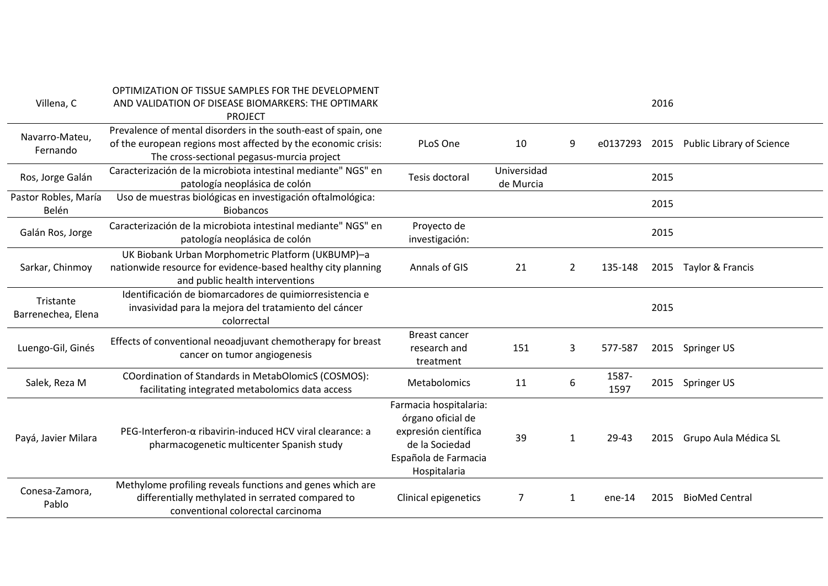| Villena, C                      | OPTIMIZATION OF TISSUE SAMPLES FOR THE DEVELOPMENT<br>AND VALIDATION OF DISEASE BIOMARKERS: THE OPTIMARK<br><b>PROJECT</b>                                                    |                                                                                                                               |                          |              |               | 2016 |                                |
|---------------------------------|-------------------------------------------------------------------------------------------------------------------------------------------------------------------------------|-------------------------------------------------------------------------------------------------------------------------------|--------------------------|--------------|---------------|------|--------------------------------|
| Navarro-Mateu,<br>Fernando      | Prevalence of mental disorders in the south-east of spain, one<br>of the european regions most affected by the economic crisis:<br>The cross-sectional pegasus-murcia project | PLoS One                                                                                                                      | 10                       | 9            | e0137293      |      | 2015 Public Library of Science |
| Ros, Jorge Galán                | Caracterización de la microbiota intestinal mediante" NGS" en<br>patología neoplásica de colón                                                                                | Tesis doctoral                                                                                                                | Universidad<br>de Murcia |              |               | 2015 |                                |
| Pastor Robles, María<br>Belén   | Uso de muestras biológicas en investigación oftalmológica:<br><b>Biobancos</b>                                                                                                |                                                                                                                               |                          |              |               | 2015 |                                |
| Galán Ros, Jorge                | Caracterización de la microbiota intestinal mediante" NGS" en<br>patología neoplásica de colón                                                                                | Proyecto de<br>investigación:                                                                                                 |                          |              |               | 2015 |                                |
| Sarkar, Chinmoy                 | UK Biobank Urban Morphometric Platform (UKBUMP)-a<br>nationwide resource for evidence-based healthy city planning<br>and public health interventions                          | Annals of GIS                                                                                                                 | 21                       | 2            | 135-148       |      | 2015 Taylor & Francis          |
| Tristante<br>Barrenechea, Elena | Identificación de biomarcadores de quimiorresistencia e<br>invasividad para la mejora del tratamiento del cáncer<br>colorrectal                                               |                                                                                                                               |                          |              |               | 2015 |                                |
| Luengo-Gil, Ginés               | Effects of conventional neoadjuvant chemotherapy for breast<br>cancer on tumor angiogenesis                                                                                   | <b>Breast cancer</b><br>research and<br>treatment                                                                             | 151                      | 3            | 577-587       |      | 2015 Springer US               |
| Salek, Reza M                   | COordination of Standards in MetabOlomicS (COSMOS):<br>facilitating integrated metabolomics data access                                                                       | Metabolomics                                                                                                                  | 11                       | 6            | 1587-<br>1597 |      | 2015 Springer US               |
| Payá, Javier Milara             | $PEG$ -Interferon- $\alpha$ ribavirin-induced HCV viral clearance: a<br>pharmacogenetic multicenter Spanish study                                                             | Farmacia hospitalaria:<br>órgano oficial de<br>expresión científica<br>de la Sociedad<br>Española de Farmacia<br>Hospitalaria | 39                       | $\mathbf{1}$ | 29-43         | 2015 | Grupo Aula Médica SL           |
| Conesa-Zamora,<br>Pablo         | Methylome profiling reveals functions and genes which are<br>differentially methylated in serrated compared to<br>conventional colorectal carcinoma                           | Clinical epigenetics                                                                                                          |                          | 1            | $ene-14$      | 2015 | <b>BioMed Central</b>          |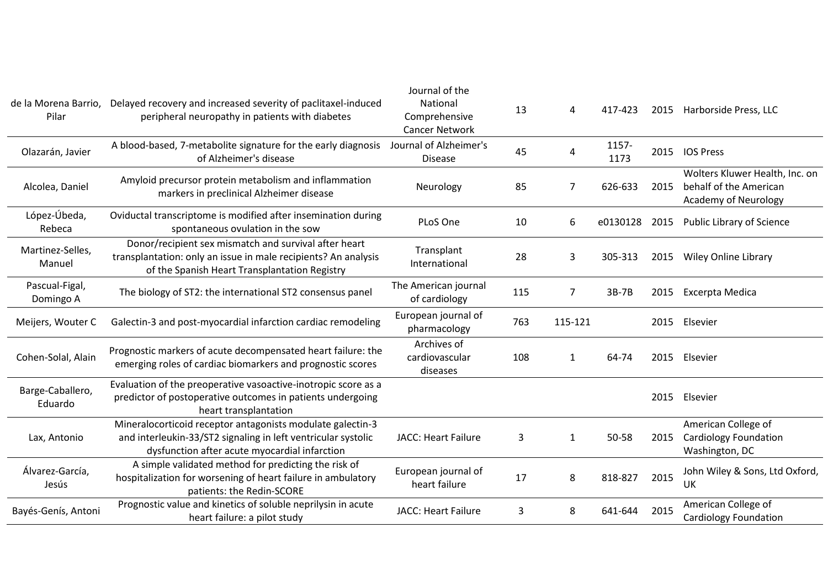| Pilar                       | de la Morena Barrio, Delayed recovery and increased severity of paclitaxel-induced<br>peripheral neuropathy in patients with diabetes                                        | Journal of the<br>National<br>Comprehensive<br><b>Cancer Network</b> | 13  | 4       | 417-423       |      | 2015 Harborside Press, LLC                                                              |
|-----------------------------|------------------------------------------------------------------------------------------------------------------------------------------------------------------------------|----------------------------------------------------------------------|-----|---------|---------------|------|-----------------------------------------------------------------------------------------|
| Olazarán, Javier            | A blood-based, 7-metabolite signature for the early diagnosis<br>of Alzheimer's disease                                                                                      | Journal of Alzheimer's<br><b>Disease</b>                             | 45  | 4       | 1157-<br>1173 | 2015 | <b>IOS Press</b>                                                                        |
| Alcolea, Daniel             | Amyloid precursor protein metabolism and inflammation<br>markers in preclinical Alzheimer disease                                                                            | Neurology                                                            | 85  | 7       | 626-633       | 2015 | Wolters Kluwer Health, Inc. on<br>behalf of the American<br><b>Academy of Neurology</b> |
| López-Úbeda,<br>Rebeca      | Oviductal transcriptome is modified after insemination during<br>spontaneous ovulation in the sow                                                                            | PLoS One                                                             | 10  | 6       | e0130128      | 2015 | Public Library of Science                                                               |
| Martinez-Selles,<br>Manuel  | Donor/recipient sex mismatch and survival after heart<br>transplantation: only an issue in male recipients? An analysis<br>of the Spanish Heart Transplantation Registry     | Transplant<br>International                                          | 28  | 3       | 305-313       | 2015 | <b>Wiley Online Library</b>                                                             |
| Pascual-Figal,<br>Domingo A | The biology of ST2: the international ST2 consensus panel                                                                                                                    | The American journal<br>of cardiology                                | 115 | 7       | $3B-7B$       | 2015 | Excerpta Medica                                                                         |
| Meijers, Wouter C           | Galectin-3 and post-myocardial infarction cardiac remodeling                                                                                                                 | European journal of<br>pharmacology                                  | 763 | 115-121 |               | 2015 | Elsevier                                                                                |
| Cohen-Solal, Alain          | Prognostic markers of acute decompensated heart failure: the<br>emerging roles of cardiac biomarkers and prognostic scores                                                   | Archives of<br>cardiovascular<br>diseases                            | 108 | 1       | 64-74         | 2015 | Elsevier                                                                                |
| Barge-Caballero,<br>Eduardo | Evaluation of the preoperative vasoactive-inotropic score as a<br>predictor of postoperative outcomes in patients undergoing<br>heart transplantation                        |                                                                      |     |         |               | 2015 | Elsevier                                                                                |
| Lax, Antonio                | Mineralocorticoid receptor antagonists modulate galectin-3<br>and interleukin-33/ST2 signaling in left ventricular systolic<br>dysfunction after acute myocardial infarction | <b>JACC: Heart Failure</b>                                           | 3   | 1       | 50-58         | 2015 | American College of<br><b>Cardiology Foundation</b><br>Washington, DC                   |
| Álvarez-García,<br>Jesús    | A simple validated method for predicting the risk of<br>hospitalization for worsening of heart failure in ambulatory<br>patients: the Redin-SCORE                            | European journal of<br>heart failure                                 | 17  | 8       | 818-827       | 2015 | John Wiley & Sons, Ltd Oxford,<br>UK                                                    |
| Bayés-Genís, Antoni         | Prognostic value and kinetics of soluble neprilysin in acute<br>heart failure: a pilot study                                                                                 | <b>JACC: Heart Failure</b>                                           | 3   | 8       | 641-644       | 2015 | American College of<br><b>Cardiology Foundation</b>                                     |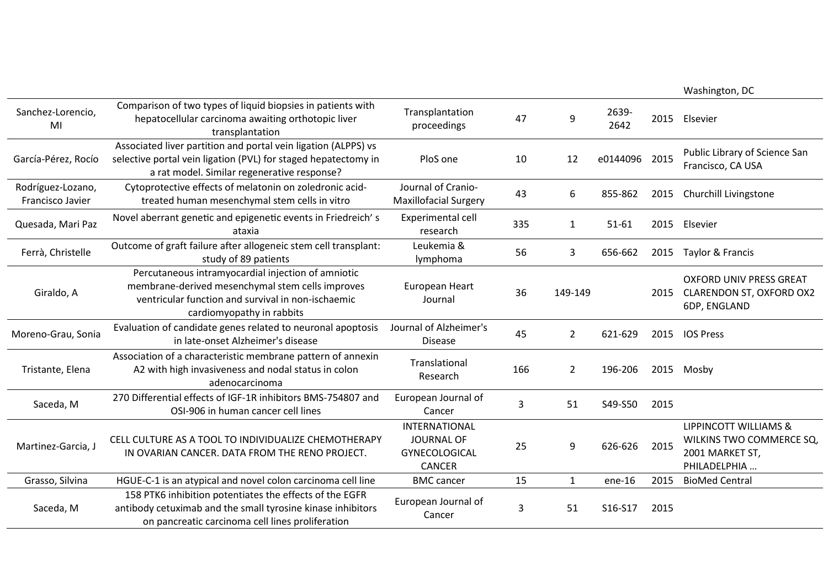|                                       |                                                                                                                                                                                           |                                                                      |     |                |               |      | Washington, DC                                                                       |
|---------------------------------------|-------------------------------------------------------------------------------------------------------------------------------------------------------------------------------------------|----------------------------------------------------------------------|-----|----------------|---------------|------|--------------------------------------------------------------------------------------|
| Sanchez-Lorencio,<br>MI               | Comparison of two types of liquid biopsies in patients with<br>hepatocellular carcinoma awaiting orthotopic liver<br>transplantation                                                      | Transplantation<br>proceedings                                       | 47  | 9              | 2639-<br>2642 | 2015 | Elsevier                                                                             |
| García-Pérez, Rocío                   | Associated liver partition and portal vein ligation (ALPPS) vs<br>selective portal vein ligation (PVL) for staged hepatectomy in<br>a rat model. Similar regenerative response?           | PloS one                                                             | 10  | 12             | e0144096      | 2015 | Public Library of Science San<br>Francisco, CA USA                                   |
| Rodríguez-Lozano,<br>Francisco Javier | Cytoprotective effects of melatonin on zoledronic acid-<br>treated human mesenchymal stem cells in vitro                                                                                  | Journal of Cranio-<br><b>Maxillofacial Surgery</b>                   | 43  | 6              | 855-862       | 2015 | Churchill Livingstone                                                                |
| Quesada, Mari Paz                     | Novel aberrant genetic and epigenetic events in Friedreich's<br>ataxia                                                                                                                    | Experimental cell<br>research                                        | 335 | $\mathbf{1}$   | $51 - 61$     | 2015 | Elsevier                                                                             |
| Ferrà, Christelle                     | Outcome of graft failure after allogeneic stem cell transplant:<br>study of 89 patients                                                                                                   | Leukemia &<br>lymphoma                                               | 56  | 3              | 656-662       | 2015 | Taylor & Francis                                                                     |
| Giraldo, A                            | Percutaneous intramyocardial injection of amniotic<br>membrane-derived mesenchymal stem cells improves<br>ventricular function and survival in non-ischaemic<br>cardiomyopathy in rabbits | European Heart<br>Journal                                            | 36  | 149-149        |               |      | <b>OXFORD UNIV PRESS GREAT</b><br>2015 CLARENDON ST, OXFORD OX2<br>6DP, ENGLAND      |
| Moreno-Grau, Sonia                    | Evaluation of candidate genes related to neuronal apoptosis<br>in late-onset Alzheimer's disease                                                                                          | Journal of Alzheimer's<br><b>Disease</b>                             | 45  | $\overline{2}$ | 621-629       | 2015 | <b>IOS Press</b>                                                                     |
| Tristante, Elena                      | Association of a characteristic membrane pattern of annexin<br>A2 with high invasiveness and nodal status in colon<br>adenocarcinoma                                                      | Translational<br>Research                                            | 166 | $\overline{2}$ | 196-206       | 2015 | Mosby                                                                                |
| Saceda, M                             | 270 Differential effects of IGF-1R inhibitors BMS-754807 and<br>OSI-906 in human cancer cell lines                                                                                        | European Journal of<br>Cancer                                        | 3   | 51             | S49-S50       | 2015 |                                                                                      |
| Martinez-Garcia, J                    | CELL CULTURE AS A TOOL TO INDIVIDUALIZE CHEMOTHERAPY<br>IN OVARIAN CANCER. DATA FROM THE RENO PROJECT.                                                                                    | <b>INTERNATIONAL</b><br>JOURNAL OF<br>GYNECOLOGICAL<br><b>CANCER</b> | 25  | 9              | 626-626       | 2015 | LIPPINCOTT WILLIAMS &<br>WILKINS TWO COMMERCE SQ,<br>2001 MARKET ST,<br>PHILADELPHIA |
| Grasso, Silvina                       | HGUE-C-1 is an atypical and novel colon carcinoma cell line                                                                                                                               | <b>BMC</b> cancer                                                    | 15  | $\mathbf{1}$   | ene-16        | 2015 | <b>BioMed Central</b>                                                                |
| Saceda, M                             | 158 PTK6 inhibition potentiates the effects of the EGFR<br>antibody cetuximab and the small tyrosine kinase inhibitors<br>on pancreatic carcinoma cell lines proliferation                | European Journal of<br>Cancer                                        | 3   | 51             | S16-S17       | 2015 |                                                                                      |
|                                       |                                                                                                                                                                                           |                                                                      |     |                |               |      |                                                                                      |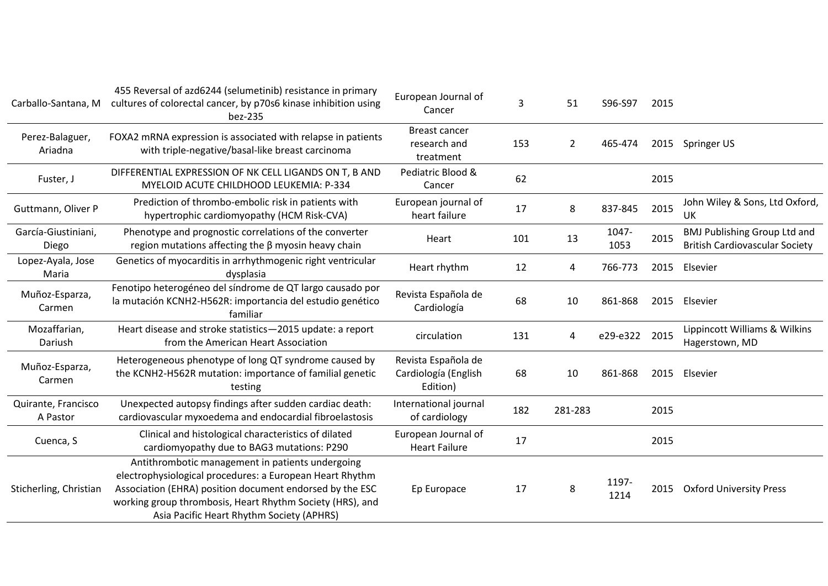| Carballo-Santana, M             | 455 Reversal of azd6244 (selumetinib) resistance in primary<br>cultures of colorectal cancer, by p70s6 kinase inhibition using<br>bez-235                                                                                                                                          | European Journal of<br>Cancer                           | 3   | 51             | S96-S97       | 2015 |                                                                              |
|---------------------------------|------------------------------------------------------------------------------------------------------------------------------------------------------------------------------------------------------------------------------------------------------------------------------------|---------------------------------------------------------|-----|----------------|---------------|------|------------------------------------------------------------------------------|
| Perez-Balaguer,<br>Ariadna      | FOXA2 mRNA expression is associated with relapse in patients<br>with triple-negative/basal-like breast carcinoma                                                                                                                                                                   | <b>Breast cancer</b><br>research and<br>treatment       | 153 | $\overline{2}$ | 465-474       | 2015 | Springer US                                                                  |
| Fuster, J                       | DIFFERENTIAL EXPRESSION OF NK CELL LIGANDS ON T, B AND<br>MYELOID ACUTE CHILDHOOD LEUKEMIA: P-334                                                                                                                                                                                  | Pediatric Blood &<br>Cancer                             | 62  |                |               | 2015 |                                                                              |
| Guttmann, Oliver P              | Prediction of thrombo-embolic risk in patients with<br>hypertrophic cardiomyopathy (HCM Risk-CVA)                                                                                                                                                                                  | European journal of<br>heart failure                    | 17  | 8              | 837-845       | 2015 | John Wiley & Sons, Ltd Oxford,<br>UK                                         |
| García-Giustiniani,<br>Diego    | Phenotype and prognostic correlations of the converter<br>region mutations affecting the $\beta$ myosin heavy chain                                                                                                                                                                | Heart                                                   | 101 | 13             | 1047-<br>1053 | 2015 | <b>BMJ Publishing Group Ltd and</b><br><b>British Cardiovascular Society</b> |
| Lopez-Ayala, Jose<br>Maria      | Genetics of myocarditis in arrhythmogenic right ventricular<br>dysplasia                                                                                                                                                                                                           | Heart rhythm                                            | 12  | 4              | 766-773       | 2015 | Elsevier                                                                     |
| Muñoz-Esparza,<br>Carmen        | Fenotipo heterogéneo del síndrome de QT largo causado por<br>la mutación KCNH2-H562R: importancia del estudio genético<br>familiar                                                                                                                                                 | Revista Española de<br>Cardiología                      | 68  | 10             | 861-868       | 2015 | Elsevier                                                                     |
| Mozaffarian,<br>Dariush         | Heart disease and stroke statistics-2015 update: a report<br>from the American Heart Association                                                                                                                                                                                   | circulation                                             | 131 | 4              | e29-e322      | 2015 | Lippincott Williams & Wilkins<br>Hagerstown, MD                              |
| Muñoz-Esparza,<br>Carmen        | Heterogeneous phenotype of long QT syndrome caused by<br>the KCNH2-H562R mutation: importance of familial genetic<br>testing                                                                                                                                                       | Revista Española de<br>Cardiología (English<br>Edition) | 68  | 10             | 861-868       |      | 2015 Elsevier                                                                |
| Quirante, Francisco<br>A Pastor | Unexpected autopsy findings after sudden cardiac death:<br>cardiovascular myxoedema and endocardial fibroelastosis                                                                                                                                                                 | International journal<br>of cardiology                  | 182 | 281-283        |               | 2015 |                                                                              |
| Cuenca, S                       | Clinical and histological characteristics of dilated<br>cardiomyopathy due to BAG3 mutations: P290                                                                                                                                                                                 | European Journal of<br><b>Heart Failure</b>             | 17  |                |               | 2015 |                                                                              |
| Sticherling, Christian          | Antithrombotic management in patients undergoing<br>electrophysiological procedures: a European Heart Rhythm<br>Association (EHRA) position document endorsed by the ESC<br>working group thrombosis, Heart Rhythm Society (HRS), and<br>Asia Pacific Heart Rhythm Society (APHRS) | Ep Europace                                             | 17  | 8              | 1197-<br>1214 |      | 2015 Oxford University Press                                                 |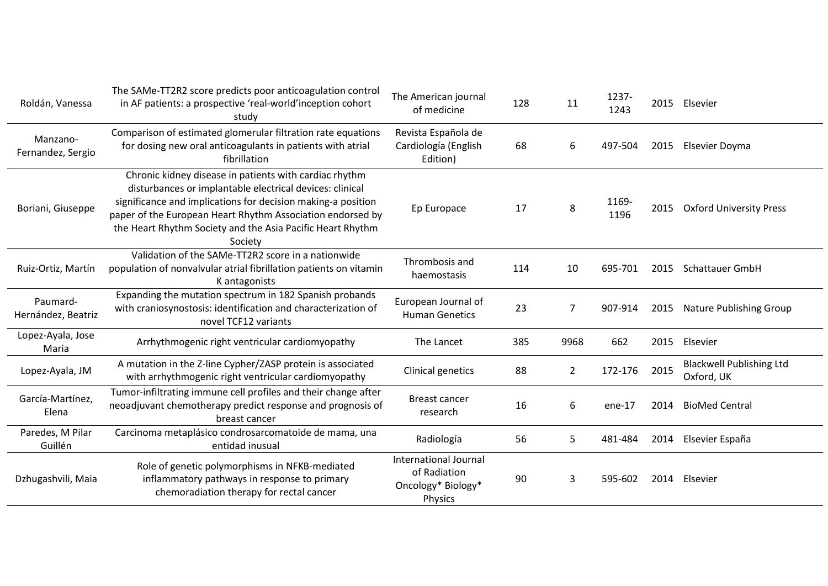| Roldán, Vanessa                | The SAMe-TT2R2 score predicts poor anticoagulation control<br>in AF patients: a prospective 'real-world'inception cohort<br>study                                                                                                                                                                                         | The American journal<br>of medicine                                    | 128 | 11             | 1237-<br>1243 |      | 2015 Elsevier                                 |
|--------------------------------|---------------------------------------------------------------------------------------------------------------------------------------------------------------------------------------------------------------------------------------------------------------------------------------------------------------------------|------------------------------------------------------------------------|-----|----------------|---------------|------|-----------------------------------------------|
| Manzano-<br>Fernandez, Sergio  | Comparison of estimated glomerular filtration rate equations<br>for dosing new oral anticoagulants in patients with atrial<br>fibrillation                                                                                                                                                                                | Revista Española de<br>Cardiología (English<br>Edition)                | 68  | 6              | 497-504       | 2015 | Elsevier Doyma                                |
| Boriani, Giuseppe              | Chronic kidney disease in patients with cardiac rhythm<br>disturbances or implantable electrical devices: clinical<br>significance and implications for decision making-a position<br>paper of the European Heart Rhythm Association endorsed by<br>the Heart Rhythm Society and the Asia Pacific Heart Rhythm<br>Society | Ep Europace                                                            | 17  | 8              | 1169-<br>1196 | 2015 | <b>Oxford University Press</b>                |
| Ruiz-Ortiz, Martín             | Validation of the SAMe-TT2R2 score in a nationwide<br>population of nonvalvular atrial fibrillation patients on vitamin<br>K antagonists                                                                                                                                                                                  | Thrombosis and<br>haemostasis                                          | 114 | 10             | 695-701       | 2015 | <b>Schattauer GmbH</b>                        |
| Paumard-<br>Hernández, Beatriz | Expanding the mutation spectrum in 182 Spanish probands<br>with craniosynostosis: identification and characterization of<br>novel TCF12 variants                                                                                                                                                                          | European Journal of<br><b>Human Genetics</b>                           | 23  | 7              | 907-914       | 2015 | Nature Publishing Group                       |
| Lopez-Ayala, Jose<br>Maria     | Arrhythmogenic right ventricular cardiomyopathy                                                                                                                                                                                                                                                                           | The Lancet                                                             | 385 | 9968           | 662           | 2015 | Elsevier                                      |
| Lopez-Ayala, JM                | A mutation in the Z-line Cypher/ZASP protein is associated<br>with arrhythmogenic right ventricular cardiomyopathy                                                                                                                                                                                                        | Clinical genetics                                                      | 88  | $\overline{2}$ | 172-176       | 2015 | <b>Blackwell Publishing Ltd</b><br>Oxford, UK |
| García-Martínez,<br>Elena      | Tumor-infiltrating immune cell profiles and their change after<br>neoadjuvant chemotherapy predict response and prognosis of<br>breast cancer                                                                                                                                                                             | <b>Breast cancer</b><br>research                                       | 16  | 6              | ene-17        | 2014 | <b>BioMed Central</b>                         |
| Paredes, M Pilar<br>Guillén    | Carcinoma metaplásico condrosarcomatoide de mama, una<br>entidad inusual                                                                                                                                                                                                                                                  | Radiología                                                             | 56  | 5              | 481-484       | 2014 | Elsevier España                               |
| Dzhugashvili, Maia             | Role of genetic polymorphisms in NFKB-mediated<br>inflammatory pathways in response to primary<br>chemoradiation therapy for rectal cancer                                                                                                                                                                                | International Journal<br>of Radiation<br>Oncology* Biology*<br>Physics | 90  | 3              | 595-602       | 2014 | Elsevier                                      |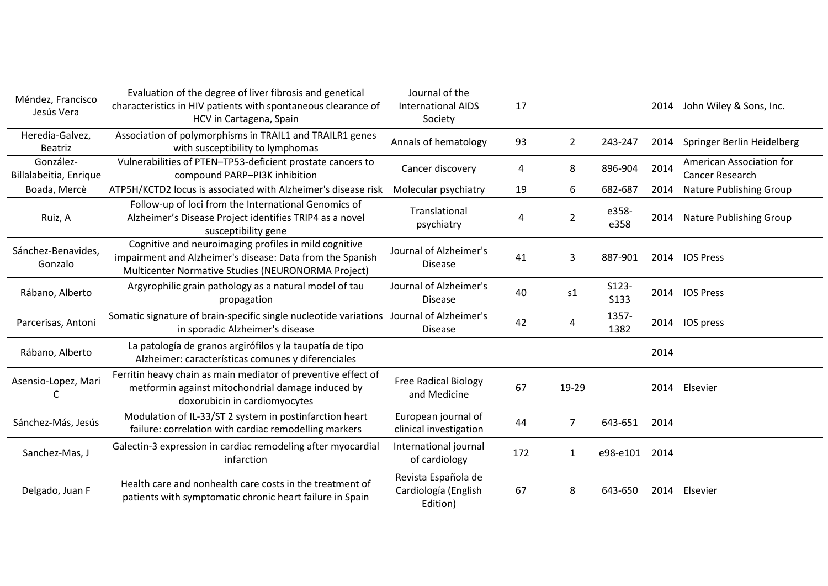| Méndez, Francisco<br>Jesús Vera     | Evaluation of the degree of liver fibrosis and genetical<br>characteristics in HIV patients with spontaneous clearance of<br>HCV in Cartagena, Spain                     | Journal of the<br><b>International AIDS</b><br>Society  | 17  |                |                      | 2014 | John Wiley & Sons, Inc.                            |
|-------------------------------------|--------------------------------------------------------------------------------------------------------------------------------------------------------------------------|---------------------------------------------------------|-----|----------------|----------------------|------|----------------------------------------------------|
| Heredia-Galvez,<br><b>Beatriz</b>   | Association of polymorphisms in TRAIL1 and TRAILR1 genes<br>with susceptibility to lymphomas                                                                             | Annals of hematology                                    | 93  | 2              | 243-247              | 2014 | Springer Berlin Heidelberg                         |
| González-<br>Billalabeitia, Enrique | Vulnerabilities of PTEN-TP53-deficient prostate cancers to<br>compound PARP-PI3K inhibition                                                                              | Cancer discovery                                        | 4   | 8              | 896-904              | 2014 | American Association for<br><b>Cancer Research</b> |
| Boada, Mercè                        | ATP5H/KCTD2 locus is associated with Alzheimer's disease risk                                                                                                            | Molecular psychiatry                                    | 19  | 6              | 682-687              | 2014 | Nature Publishing Group                            |
| Ruiz, A                             | Follow-up of loci from the International Genomics of<br>Alzheimer's Disease Project identifies TRIP4 as a novel<br>susceptibility gene                                   | Translational<br>psychiatry                             | 4   | $\overline{2}$ | e358-<br>e358        | 2014 | Nature Publishing Group                            |
| Sánchez-Benavides,<br>Gonzalo       | Cognitive and neuroimaging profiles in mild cognitive<br>impairment and Alzheimer's disease: Data from the Spanish<br>Multicenter Normative Studies (NEURONORMA Project) | Journal of Alzheimer's<br><b>Disease</b>                | 41  | 3              | 887-901              | 2014 | <b>IOS Press</b>                                   |
| Rábano, Alberto                     | Argyrophilic grain pathology as a natural model of tau<br>propagation                                                                                                    | Journal of Alzheimer's<br><b>Disease</b>                | 40  | s1             | S123-<br><b>S133</b> | 2014 | <b>IOS Press</b>                                   |
| Parcerisas, Antoni                  | Somatic signature of brain-specific single nucleotide variations Journal of Alzheimer's<br>in sporadic Alzheimer's disease                                               | <b>Disease</b>                                          | 42  | 4              | 1357-<br>1382        |      | 2014 IOS press                                     |
| Rábano, Alberto                     | La patología de granos argirófilos y la taupatía de tipo<br>Alzheimer: características comunes y diferenciales                                                           |                                                         |     |                |                      | 2014 |                                                    |
| Asensio-Lopez, Mari<br>C            | Ferritin heavy chain as main mediator of preventive effect of<br>metformin against mitochondrial damage induced by<br>doxorubicin in cardiomyocytes                      | <b>Free Radical Biology</b><br>and Medicine             | 67  | 19-29          |                      | 2014 | Elsevier                                           |
| Sánchez-Más, Jesús                  | Modulation of IL-33/ST 2 system in postinfarction heart<br>failure: correlation with cardiac remodelling markers                                                         | European journal of<br>clinical investigation           | 44  | $\overline{7}$ | 643-651              | 2014 |                                                    |
| Sanchez-Mas, J                      | Galectin-3 expression in cardiac remodeling after myocardial<br>infarction                                                                                               | International journal<br>of cardiology                  | 172 | 1              | e98-e101             | 2014 |                                                    |
| Delgado, Juan F                     | Health care and nonhealth care costs in the treatment of<br>patients with symptomatic chronic heart failure in Spain                                                     | Revista Española de<br>Cardiología (English<br>Edition) | 67  | 8              | 643-650              | 2014 | Elsevier                                           |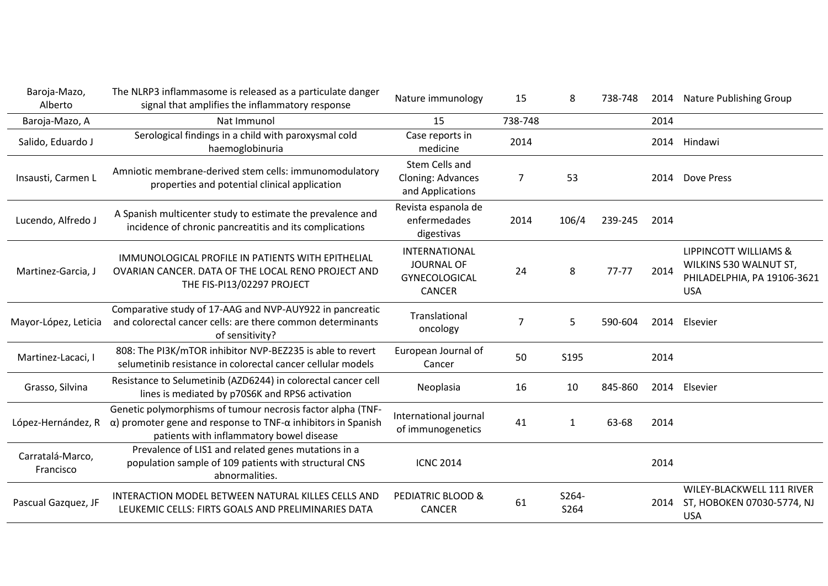| Baroja-Mazo,<br>Alberto       | The NLRP3 inflammasome is released as a particulate danger<br>signal that amplifies the inflammatory response                                                                           | Nature immunology                                                                  | 15      | 8             | 738-748 |      | 2014 Nature Publishing Group                                                                 |
|-------------------------------|-----------------------------------------------------------------------------------------------------------------------------------------------------------------------------------------|------------------------------------------------------------------------------------|---------|---------------|---------|------|----------------------------------------------------------------------------------------------|
| Baroja-Mazo, A                | Nat Immunol                                                                                                                                                                             | 15                                                                                 | 738-748 |               |         | 2014 |                                                                                              |
| Salido, Eduardo J             | Serological findings in a child with paroxysmal cold<br>haemoglobinuria                                                                                                                 | Case reports in<br>medicine                                                        | 2014    |               |         |      | 2014 Hindawi                                                                                 |
| Insausti, Carmen L            | Amniotic membrane-derived stem cells: immunomodulatory<br>properties and potential clinical application                                                                                 | Stem Cells and<br><b>Cloning: Advances</b><br>and Applications                     | 7       | 53            |         | 2014 | Dove Press                                                                                   |
| Lucendo, Alfredo J            | A Spanish multicenter study to estimate the prevalence and<br>incidence of chronic pancreatitis and its complications                                                                   | Revista espanola de<br>enfermedades<br>digestivas                                  | 2014    | 106/4         | 239-245 | 2014 |                                                                                              |
| Martinez-Garcia, J            | IMMUNOLOGICAL PROFILE IN PATIENTS WITH EPITHELIAL<br>OVARIAN CANCER. DATA OF THE LOCAL RENO PROJECT AND<br>THE FIS-PI13/02297 PROJECT                                                   | <b>INTERNATIONAL</b><br><b>JOURNAL OF</b><br><b>GYNECOLOGICAL</b><br><b>CANCER</b> | 24      | 8             | 77-77   | 2014 | LIPPINCOTT WILLIAMS &<br>WILKINS 530 WALNUT ST,<br>PHILADELPHIA, PA 19106-3621<br><b>USA</b> |
| Mayor-López, Leticia          | Comparative study of 17-AAG and NVP-AUY922 in pancreatic<br>and colorectal cancer cells: are there common determinants<br>of sensitivity?                                               | Translational<br>oncology                                                          | 7       | 5             | 590-604 | 2014 | Elsevier                                                                                     |
| Martinez-Lacaci, I            | 808: The PI3K/mTOR inhibitor NVP-BEZ235 is able to revert<br>selumetinib resistance in colorectal cancer cellular models                                                                | European Journal of<br>Cancer                                                      | 50      | S195          |         | 2014 |                                                                                              |
| Grasso, Silvina               | Resistance to Selumetinib (AZD6244) in colorectal cancer cell<br>lines is mediated by p70S6K and RPS6 activation                                                                        | Neoplasia                                                                          | 16      | 10            | 845-860 | 2014 | Elsevier                                                                                     |
| López-Hernández, R            | Genetic polymorphisms of tumour necrosis factor alpha (TNF-<br>$\alpha$ ) promoter gene and response to TNF- $\alpha$ inhibitors in Spanish<br>patients with inflammatory bowel disease | International journal<br>of immunogenetics                                         | 41      | $\mathbf{1}$  | 63-68   | 2014 |                                                                                              |
| Carratalá-Marco,<br>Francisco | Prevalence of LIS1 and related genes mutations in a<br>population sample of 109 patients with structural CNS<br>abnormalities.                                                          | <b>ICNC 2014</b>                                                                   |         |               |         | 2014 |                                                                                              |
| Pascual Gazquez, JF           | INTERACTION MODEL BETWEEN NATURAL KILLES CELLS AND<br>LEUKEMIC CELLS: FIRTS GOALS AND PRELIMINARIES DATA                                                                                | <b>PEDIATRIC BLOOD &amp;</b><br><b>CANCER</b>                                      | 61      | S264-<br>S264 |         | 2014 | WILEY-BLACKWELL 111 RIVER<br>ST, HOBOKEN 07030-5774, NJ<br><b>USA</b>                        |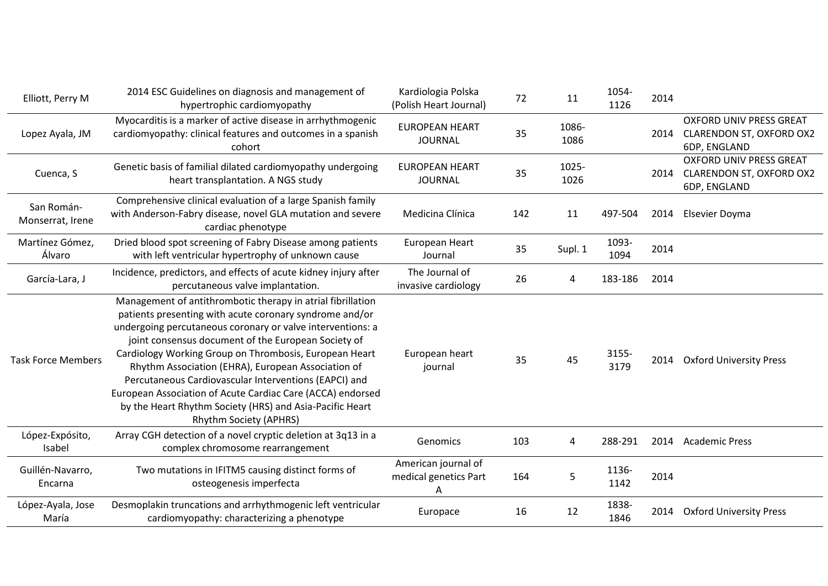| Elliott, Perry M               | 2014 ESC Guidelines on diagnosis and management of<br>hypertrophic cardiomyopathy                                                                                                                                                                                                                                                                                                                                                                                                                                                                                               | Kardiologia Polska<br>(Polish Heart Journal) | 72  | 11            | 1054-<br>1126 | 2014 |                                                                                   |
|--------------------------------|---------------------------------------------------------------------------------------------------------------------------------------------------------------------------------------------------------------------------------------------------------------------------------------------------------------------------------------------------------------------------------------------------------------------------------------------------------------------------------------------------------------------------------------------------------------------------------|----------------------------------------------|-----|---------------|---------------|------|-----------------------------------------------------------------------------------|
| Lopez Ayala, JM                | Myocarditis is a marker of active disease in arrhythmogenic<br>cardiomyopathy: clinical features and outcomes in a spanish<br>cohort                                                                                                                                                                                                                                                                                                                                                                                                                                            | <b>EUROPEAN HEART</b><br><b>JOURNAL</b>      | 35  | 1086-<br>1086 |               | 2014 | <b>OXFORD UNIV PRESS GREAT</b><br><b>CLARENDON ST, OXFORD OX2</b><br>6DP, ENGLAND |
| Cuenca, S                      | Genetic basis of familial dilated cardiomyopathy undergoing<br>heart transplantation. A NGS study                                                                                                                                                                                                                                                                                                                                                                                                                                                                               | <b>EUROPEAN HEART</b><br><b>JOURNAL</b>      | 35  | 1025-<br>1026 |               | 2014 | <b>OXFORD UNIV PRESS GREAT</b><br>CLARENDON ST, OXFORD OX2<br>6DP, ENGLAND        |
| San Román-<br>Monserrat, Irene | Comprehensive clinical evaluation of a large Spanish family<br>with Anderson-Fabry disease, novel GLA mutation and severe<br>cardiac phenotype                                                                                                                                                                                                                                                                                                                                                                                                                                  | Medicina Clínica                             | 142 | 11            | 497-504       | 2014 | Elsevier Doyma                                                                    |
| Martínez Gómez,<br>Álvaro      | Dried blood spot screening of Fabry Disease among patients<br>with left ventricular hypertrophy of unknown cause                                                                                                                                                                                                                                                                                                                                                                                                                                                                | European Heart<br>Journal                    | 35  | Supl. 1       | 1093-<br>1094 | 2014 |                                                                                   |
| García-Lara, J                 | Incidence, predictors, and effects of acute kidney injury after<br>percutaneous valve implantation.                                                                                                                                                                                                                                                                                                                                                                                                                                                                             | The Journal of<br>invasive cardiology        | 26  | 4             | 183-186       | 2014 |                                                                                   |
| <b>Task Force Members</b>      | Management of antithrombotic therapy in atrial fibrillation<br>patients presenting with acute coronary syndrome and/or<br>undergoing percutaneous coronary or valve interventions: a<br>joint consensus document of the European Society of<br>Cardiology Working Group on Thrombosis, European Heart<br>Rhythm Association (EHRA), European Association of<br>Percutaneous Cardiovascular Interventions (EAPCI) and<br>European Association of Acute Cardiac Care (ACCA) endorsed<br>by the Heart Rhythm Society (HRS) and Asia-Pacific Heart<br><b>Rhythm Society (APHRS)</b> | European heart<br>journal                    | 35  | 45            | 3155-<br>3179 | 2014 | <b>Oxford University Press</b>                                                    |
| López-Expósito,<br>Isabel      | Array CGH detection of a novel cryptic deletion at 3q13 in a<br>complex chromosome rearrangement                                                                                                                                                                                                                                                                                                                                                                                                                                                                                | Genomics                                     | 103 | 4             | 288-291       | 2014 | <b>Academic Press</b>                                                             |
| Guillén-Navarro,<br>Encarna    | Two mutations in IFITM5 causing distinct forms of<br>osteogenesis imperfecta                                                                                                                                                                                                                                                                                                                                                                                                                                                                                                    | American journal of<br>medical genetics Part | 164 | 5             | 1136-<br>1142 | 2014 |                                                                                   |
| López-Ayala, Jose<br>María     | Desmoplakin truncations and arrhythmogenic left ventricular<br>cardiomyopathy: characterizing a phenotype                                                                                                                                                                                                                                                                                                                                                                                                                                                                       | Europace                                     | 16  | 12            | 1838-<br>1846 | 2014 | <b>Oxford University Press</b>                                                    |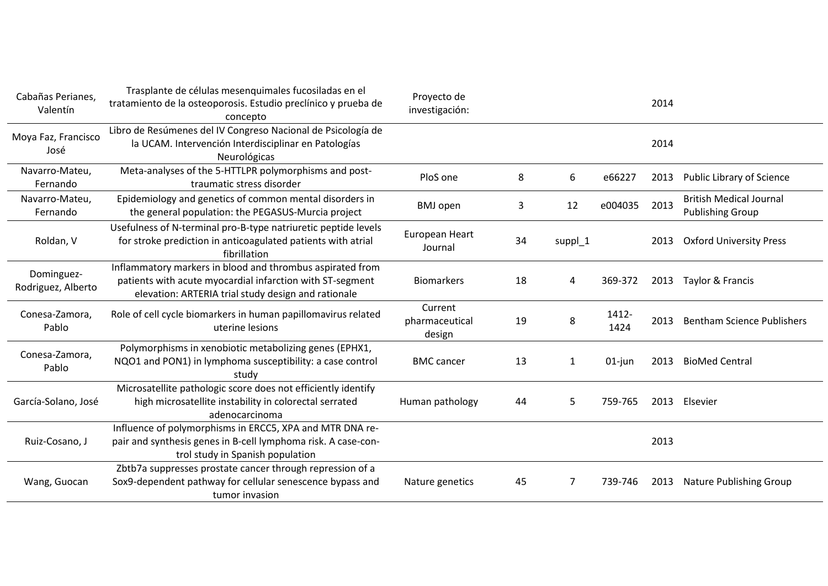| Cabañas Perianes,<br>Valentín    | Trasplante de células mesenquimales fucosiladas en el<br>tratamiento de la osteoporosis. Estudio preclínico y prueba de<br>concepto                                           | Proyecto de<br>investigación:       |    |         |               | 2014 |                                                           |
|----------------------------------|-------------------------------------------------------------------------------------------------------------------------------------------------------------------------------|-------------------------------------|----|---------|---------------|------|-----------------------------------------------------------|
| Moya Faz, Francisco<br>José      | Libro de Resúmenes del IV Congreso Nacional de Psicología de<br>la UCAM. Intervención Interdisciplinar en Patologías<br>Neurológicas                                          |                                     |    |         |               | 2014 |                                                           |
| Navarro-Mateu,<br>Fernando       | Meta-analyses of the 5-HTTLPR polymorphisms and post-<br>traumatic stress disorder                                                                                            | PloS one                            | 8  | 6       | e66227        | 2013 | Public Library of Science                                 |
| Navarro-Mateu,<br>Fernando       | Epidemiology and genetics of common mental disorders in<br>the general population: the PEGASUS-Murcia project                                                                 | <b>BMJ</b> open                     | 3  | 12      | e004035       | 2013 | <b>British Medical Journal</b><br><b>Publishing Group</b> |
| Roldan, V                        | Usefulness of N-terminal pro-B-type natriuretic peptide levels<br>for stroke prediction in anticoagulated patients with atrial<br>fibrillation                                | European Heart<br>Journal           | 34 | suppl_1 |               | 2013 | <b>Oxford University Press</b>                            |
| Dominguez-<br>Rodriguez, Alberto | Inflammatory markers in blood and thrombus aspirated from<br>patients with acute myocardial infarction with ST-segment<br>elevation: ARTERIA trial study design and rationale | <b>Biomarkers</b>                   | 18 | 4       | 369-372       | 2013 | Taylor & Francis                                          |
| Conesa-Zamora,<br>Pablo          | Role of cell cycle biomarkers in human papillomavirus related<br>uterine lesions                                                                                              | Current<br>pharmaceutical<br>design | 19 | 8       | 1412-<br>1424 | 2013 | <b>Bentham Science Publishers</b>                         |
| Conesa-Zamora,<br>Pablo          | Polymorphisms in xenobiotic metabolizing genes (EPHX1,<br>NQO1 and PON1) in lymphoma susceptibility: a case control<br>studv                                                  | <b>BMC</b> cancer                   | 13 | 1       | $01$ -jun     | 2013 | <b>BioMed Central</b>                                     |
| García-Solano, José              | Microsatellite pathologic score does not efficiently identify<br>high microsatellite instability in colorectal serrated<br>adenocarcinoma                                     | Human pathology                     | 44 | 5       | 759-765       | 2013 | Elsevier                                                  |
| Ruiz-Cosano, J                   | Influence of polymorphisms in ERCC5, XPA and MTR DNA re-<br>pair and synthesis genes in B-cell lymphoma risk. A case-con-<br>trol study in Spanish population                 |                                     |    |         |               | 2013 |                                                           |
| Wang, Guocan                     | Zbtb7a suppresses prostate cancer through repression of a<br>Sox9-dependent pathway for cellular senescence bypass and<br>tumor invasion                                      | Nature genetics                     | 45 | 7       | 739-746       | 2013 | <b>Nature Publishing Group</b>                            |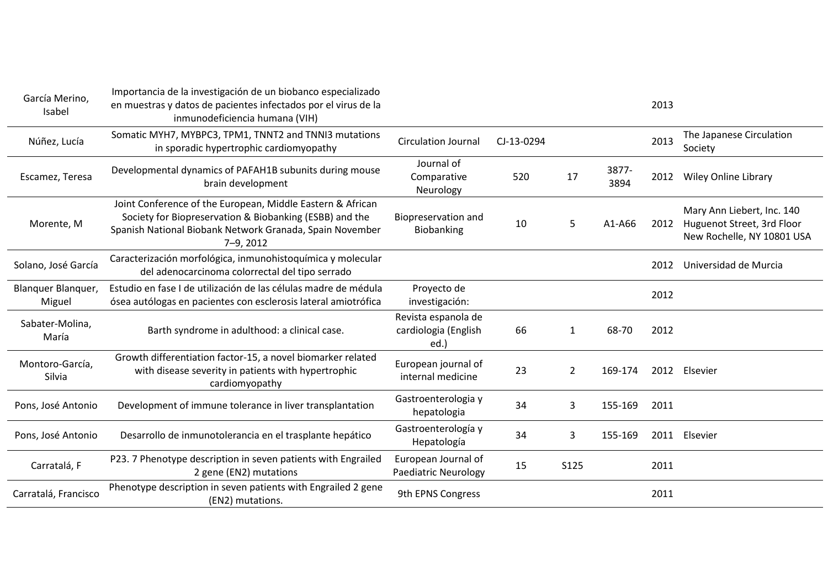| García Merino,<br>Isabel     | Importancia de la investigación de un biobanco especializado<br>en muestras y datos de pacientes infectados por el virus de la<br>inmunodeficiencia humana (VIH)                                   |                                                     |            |                |               | 2013 |                                                                                        |
|------------------------------|----------------------------------------------------------------------------------------------------------------------------------------------------------------------------------------------------|-----------------------------------------------------|------------|----------------|---------------|------|----------------------------------------------------------------------------------------|
| Núñez, Lucía                 | Somatic MYH7, MYBPC3, TPM1, TNNT2 and TNNI3 mutations<br>in sporadic hypertrophic cardiomyopathy                                                                                                   | <b>Circulation Journal</b>                          | CJ-13-0294 |                |               | 2013 | The Japanese Circulation<br>Society                                                    |
| Escamez, Teresa              | Developmental dynamics of PAFAH1B subunits during mouse<br>brain development                                                                                                                       | Journal of<br>Comparative<br>Neurology              | 520        | 17             | 3877-<br>3894 | 2012 | <b>Wiley Online Library</b>                                                            |
| Morente, M                   | Joint Conference of the European, Middle Eastern & African<br>Society for Biopreservation & Biobanking (ESBB) and the<br>Spanish National Biobank Network Granada, Spain November<br>$7 - 9, 2012$ | Biopreservation and<br>Biobanking                   | 10         | 5              | A1-A66        | 2012 | Mary Ann Liebert, Inc. 140<br>Huguenot Street, 3rd Floor<br>New Rochelle, NY 10801 USA |
| Solano, José García          | Caracterización morfológica, inmunohistoquímica y molecular<br>del adenocarcinoma colorrectal del tipo serrado                                                                                     |                                                     |            |                |               | 2012 | Universidad de Murcia                                                                  |
| Blanguer Blanguer,<br>Miguel | Estudio en fase I de utilización de las células madre de médula<br>ósea autólogas en pacientes con esclerosis lateral amiotrófica                                                                  | Proyecto de<br>investigación:                       |            |                |               | 2012 |                                                                                        |
| Sabater-Molina,<br>María     | Barth syndrome in adulthood: a clinical case.                                                                                                                                                      | Revista espanola de<br>cardiologia (English<br>ed.) | 66         | $\mathbf{1}$   | 68-70         | 2012 |                                                                                        |
| Montoro-García,<br>Silvia    | Growth differentiation factor-15, a novel biomarker related<br>with disease severity in patients with hypertrophic<br>cardiomyopathy                                                               | European journal of<br>internal medicine            | 23         | $\overline{2}$ | 169-174       | 2012 | Elsevier                                                                               |
| Pons, José Antonio           | Development of immune tolerance in liver transplantation                                                                                                                                           | Gastroenterologia y<br>hepatologia                  | 34         | 3              | 155-169       | 2011 |                                                                                        |
| Pons, José Antonio           | Desarrollo de inmunotolerancia en el trasplante hepático                                                                                                                                           | Gastroenterología y<br>Hepatología                  | 34         | 3              | 155-169       | 2011 | Elsevier                                                                               |
| Carratalá, F                 | P23. 7 Phenotype description in seven patients with Engrailed<br>2 gene (EN2) mutations                                                                                                            | European Journal of<br><b>Paediatric Neurology</b>  | 15         | S125           |               | 2011 |                                                                                        |
| Carratalá, Francisco         | Phenotype description in seven patients with Engrailed 2 gene<br>(EN2) mutations.                                                                                                                  | 9th EPNS Congress                                   |            |                |               | 2011 |                                                                                        |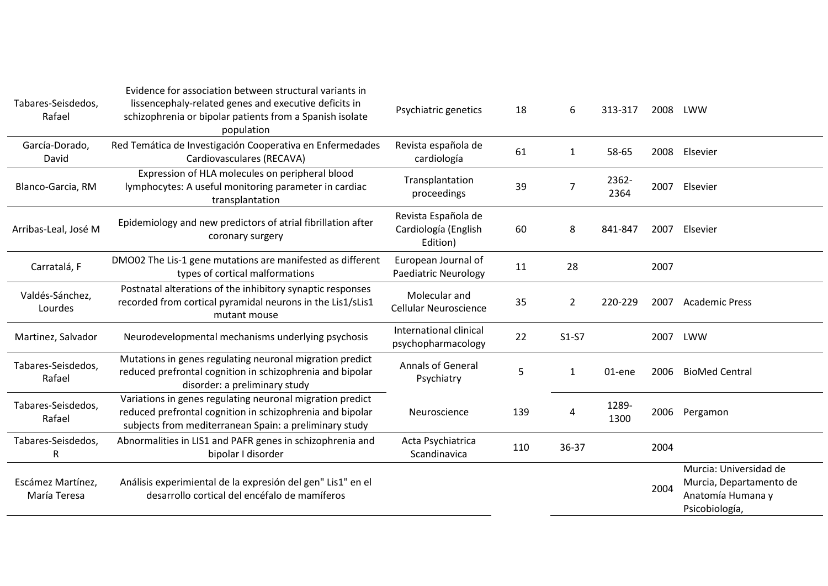| Tabares-Seisdedos,<br>Rafael      | Evidence for association between structural variants in<br>lissencephaly-related genes and executive deficits in<br>schizophrenia or bipolar patients from a Spanish isolate<br>population | Psychiatric genetics                                    | 18  | 6              | 313-317       | 2008 | LWW                                                                                      |
|-----------------------------------|--------------------------------------------------------------------------------------------------------------------------------------------------------------------------------------------|---------------------------------------------------------|-----|----------------|---------------|------|------------------------------------------------------------------------------------------|
| García-Dorado,<br>David           | Red Temática de Investigación Cooperativa en Enfermedades<br>Cardiovasculares (RECAVA)                                                                                                     | Revista española de<br>cardiología                      | 61  | $\mathbf{1}$   | 58-65         | 2008 | Elsevier                                                                                 |
| Blanco-Garcia, RM                 | Expression of HLA molecules on peripheral blood<br>lymphocytes: A useful monitoring parameter in cardiac<br>transplantation                                                                | Transplantation<br>proceedings                          | 39  | 7              | 2362-<br>2364 | 2007 | Elsevier                                                                                 |
| Arribas-Leal, José M              | Epidemiology and new predictors of atrial fibrillation after<br>coronary surgery                                                                                                           | Revista Española de<br>Cardiología (English<br>Edition) | 60  | 8              | 841-847       | 2007 | Elsevier                                                                                 |
| Carratalá, F                      | DMO02 The Lis-1 gene mutations are manifested as different<br>types of cortical malformations                                                                                              | European Journal of<br><b>Paediatric Neurology</b>      | 11  | 28             |               | 2007 |                                                                                          |
| Valdés-Sánchez,<br>Lourdes        | Postnatal alterations of the inhibitory synaptic responses<br>recorded from cortical pyramidal neurons in the Lis1/sLis1<br>mutant mouse                                                   | Molecular and<br><b>Cellular Neuroscience</b>           | 35  | $\overline{2}$ | 220-229       | 2007 | <b>Academic Press</b>                                                                    |
| Martinez, Salvador                | Neurodevelopmental mechanisms underlying psychosis                                                                                                                                         | International clinical<br>psychopharmacology            | 22  | $S1-S7$        |               | 2007 | LWW                                                                                      |
| Tabares-Seisdedos,<br>Rafael      | Mutations in genes regulating neuronal migration predict<br>reduced prefrontal cognition in schizophrenia and bipolar<br>disorder: a preliminary study                                     | <b>Annals of General</b><br>Psychiatry                  | 5   | 1              | 01-ene        | 2006 | <b>BioMed Central</b>                                                                    |
| Tabares-Seisdedos,<br>Rafael      | Variations in genes regulating neuronal migration predict<br>reduced prefrontal cognition in schizophrenia and bipolar<br>subjects from mediterranean Spain: a preliminary study           | Neuroscience                                            | 139 | 4              | 1289-<br>1300 | 2006 | Pergamon                                                                                 |
| Tabares-Seisdedos,<br>R           | Abnormalities in LIS1 and PAFR genes in schizophrenia and<br>bipolar I disorder                                                                                                            | Acta Psychiatrica<br>Scandinavica                       | 110 | 36-37          |               | 2004 |                                                                                          |
| Escámez Martínez,<br>María Teresa | Análisis experimiental de la expresión del gen" Lis1" en el<br>desarrollo cortical del encéfalo de mamíferos                                                                               |                                                         |     |                |               | 2004 | Murcia: Universidad de<br>Murcia, Departamento de<br>Anatomía Humana y<br>Psicobiología, |